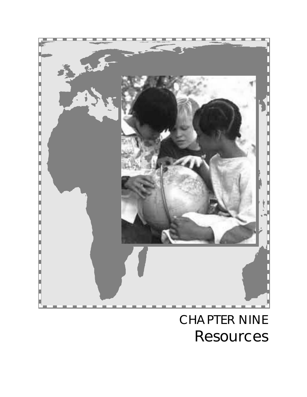

# CHAPTER NINE Resources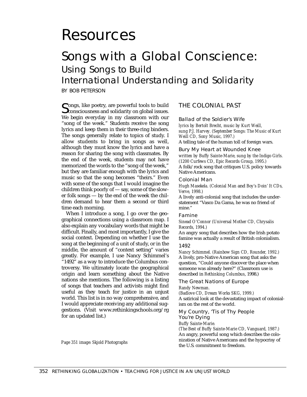# Resources

# Songs with a Global Conscience: Using Songs to Build International Understanding and Solidarity

BY BOB PETERSON

Songs, like poetry, are powerful tools to build<br>consciousness and solidarity on global issues. We begin everyday in my classroom with our "song of the week." Students receive the song lyrics and keep them in their three-ring binders. The songs generally relate to topics of study. I allow students to bring in songs as well, although they must know the lyrics and have a reason for sharing the song with classmates. By the end of the week, students may not have memorized the words to the "song of the week," but they are familiar enough with the lyrics and music so that the song becomes "theirs." Even with some of the songs that I would imagine the children think poorly of — say, some of the slower folk songs — by the end of the week the children demand to hear them a second or third time each morning.

When I introduce a song, I go over the geographical connections using a classroom map. I also explain any vocabulary words that might be difficult. Finally, and most importantly, I give the social context. Depending on whether I use the song at the beginning of a unit of study, or in the middle, the amount of "context setting" varies greatly. For example, I use Nancy Schimmel's "1492" as a way to introduce the Columbus controversy. We ultimately locate the geographical origin and learn something about the Native nations she mentions. The following is a listing of songs that teachers and activists might find useful as they teach for justice in an unjust world. This list is in no way comprehensive, and I would appreciate receiving any additional suggestions. (Visit [www.rethinkingschools.org/rg](http://www.rethinkingschools.org/rg) for an updated list.)

*Page 351 image: Skjold Photographs*

## THE COLONIAL PAST

#### Ballad of the Soldier's Wife

*lyrics by Bertolt Brecht, music by Kurt Weill, sung P.J. Harvey. (September Songs: The Music of Kurt Weill CD, Sony Music, 1997.)* A telling tale of the human toll of foreign wars.

#### Bury My Heart at Wounded Knee

*written by Buffy Sainte-Marie, sung by the Indigo Girls. (1200 Curfews CD, Epic Records Group, 1995.)*  A folk/rock song that critiques U.S. policy towards Native Americans.

#### Colonial Man

*Hugh Masekela. (Colonial Man* and *Boy's Doin' It CDs, Verve, 1998.)*

A lively anti-colonial song that includes the understatement "Vasco Da Gama, he was no friend of mine."

#### Famine

*Sinead O'Connor (Universal Mother CD, Chrysalis Records, 1994.)*

An angry song that describes how the Irish potato famine was actually a result of British colonialism.

## 1492

*Nancy Schimmel. (Rainbow Sign CD, Rounder, 1992.)* A lively, pro-Native American song that asks the question, "Could anyone discover the place when someone was already here?" (Classroom use is described in *Rethinking Columbus*, 1998.)

## The Great Nations of Europe

*Randy Newman. (Badlove CD, Dream Works SKG, 1999.)*  A satirical look at the devastating impact of colonialism on the rest of the world.

## My Country, 'Tis of Thy People You're Dying

*Buffy Sainte-Marie.* 

*(The Best of Buffy Sainte-Marie CD, Vanguard, 1987.)*  An angry, powerful song which describes the colonization of Native Americans and the hypocrisy of the U.S. commitment to freedom.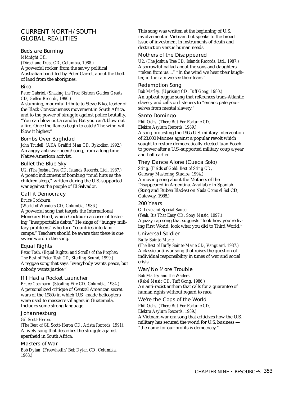# CURRENT NORTH/SOUTH GLOBAL REALITIES

## Beds are Burning

*Midnight Oil.* (D*iesel and Dust CD, Columbia, 1988.)*  A powerful rocker, from the savvy political Australian band led by Peter Garret, about the theft of land from the aborigines.

## Biko

#### *Peter Gabriel. (Shaking the Tree: Sixteen Golden Greats CD, Geffen Records, 1990.)*

A stunning, mournful tribute to Steve Biko, leader of the Black Consciousness movement in South Africa, and to the power of struggle against police brutality. "You can blow out a candle/But you can't blow out a fire. Once the flames begin to catch/The wind will blow it higher."

## Bombs Over Baghdad

*John Trudell. (AKA Graffiti Man CD, Rykodisc, 1992.)* An angry anti-war poem/song, from a long-time Native American activist.

## Bullet the Blue Sky

*U2. (The Joshua Tree CD, Islands Records, Ltd., 1987.)*  A poetic indictment of bombing "mud huts as the children sleep," written during the U.S.-supported war against the people of El Salvador.

## Call it Democracy

## *Bruce Cockburn.*

*(World of Wonders CD, Columbia, 1986.)* A powerful song that targets the International Monetary Fund, which Cockburn accuses of fostering "insupportable debts." He sings of "hungry military profiteers" who turn "countries into labor camps." Teachers should be aware that there is one swear word in the song.

## Equal Rights

*Peter Tosh. (Equal Rights; and Scrolls of the Prophet: The Best of Peter Tosh CD, Sterling Sound, 1999.)* A reggae song that says "everybody wants peace, but nobody wants justice."

## If I Had a Rocket Launcher

*Bruce Cockburn. (Stealing Fire CD, Columbia, 1984.)*  A personalized critique of Central American secret wars of the 1980s in which U.S. -made helicopters were used to massacre villagers in Guatemala. Includes some strong language.

## Johannesburg

## *Gil Scott-Heron.*

*(The Best of Gil Scott-Heron CD, Arista Records, 1991).* A lively song that describes the struggle against apartheid in South Africa.

## Masters of War

*Bob Dylan. (Freewheelin' Bob Dylan CD, Columbia, 1963.)* 

This song was written at the beginning of U.S. involvement in Vietnam but speaks to the broad issue of investment in instruments of death and destruction versus human needs.

## Mothers of the Disappeared

*U2. (The Joshua Tree CD, Islands Records, Ltd., 1987.)*  A sorrowful ballad about the sons and daughters "taken from us...." "In the wind we hear their laughter, in the rain we see their tears."

## Redemption Song

*Bob Marley. (Uprising CD, Tuff Gong, 1980.)* An upbeat reggae song that references trans-Atlantic slavery and calls on listeners to "emancipate yourselves from mental slavery."

## Santo Domingo

*Phil Ochs. (There But For Fortune CD, Elektra Asylum Records, 1989.)* A song protesting the 1965 U.S. military intervention of 23,000 Marines against a popular revolt which sought to restore democratically elected Juan Bosch to power after a U.S.-supported military coup a year and half earlier.

## They Dance Alone (*Cueca Solo*)

*Sting. (Fields of Gold: Best of Sting CD, Gateway Mastering Studios, 1994.)* A moving song about the Mothers of the Disappeared in Argentina. Available in Spanish (Sting and Ruben Blades) on *Nada Como el Sol* CD, Gateway, 1988.)

## 200 Years

*G. Love and Special Sauce. (Yeah, It's That Easy CD, Sony Music, 1997.)*  A jazzy rap song that suggests "look how you're living First World, look what you did to Third World."

## Universal Soldier

## *Buffy Sainte-Marie.*

*(The Best of Buffy Sainte-Marie CD, Vanguard, 1987.)* A classic anti-war song that raises the question of individual responsibility in times of war and social crisis.

## War/No More Trouble

*Bob Marley and the Wailers. (Rebel Music CD, Tuff Gong, 1986.)*  An anti-racist anthem that calls for a guarantee of human rights without regard to race.

## We're the Cops of the World

*Phil Ochs. (There But For Fortune CD, Elektra Asylum Records, 1989.)* A Vietnam-war era song that criticizes how the U.S. military has secured the world for U.S. business — "the name for our profits is democracy."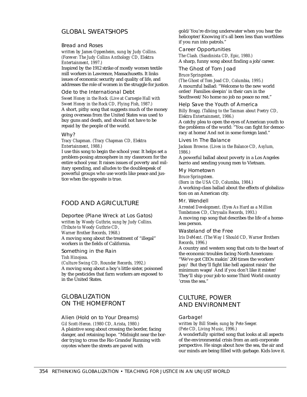## GLOBAL SWEATSHOPS

#### Bread and Roses

*written by James Oppenheim, sung by Judy Collins. (Forever: The Judy Collins Anthology CD, Elektra Entertainment, 1997.)*

Inspired by the 1912 strike of mostly women textile mill workers in Lawrence, Massachusetts. It links issues of economic security and quality of life, and addresses the role of women in the struggle for justice.

#### Ode to the International Debt

*Sweet Honey in the Rock. (Live at Carnegie Hall with Sweet Honey in the Rock CD, Flying Fish, 1987.)*  A short, pithy song that suggests much of the money going overseas from the United States was used to buy guns and death, and should not have to be repaid by the people of the world.

## Why?

*Tracy Chapman. (Tracy Chapman CD, Elektra Entertainment, 1988.)*

I use this song to begin the school year. It helps set a problem-posing atmosphere in my classroom for the entire school year. It raises issues of poverty and military spending, and alludes to the doublespeak of powerful groups who use words like peace and justice when the opposite is true.

## FOOD AND AGRICULTURE

#### Deportee (Plane Wreck at Los Gatos)

*written by Woody Guthrie, sung by Judy Collins. (Tribute to Woody Guthrie CD, Warner Brother Records, 1968.)* A moving song about the treatment of "illegal" workers in the fields of California.

#### Something in the Rain

*Tish Hinojosa.* 

*(Culture Swing CD, Rounder Records, 1992.)* A moving song about a boy's little sister, poisoned by the pesticides that farm workers are exposed to in the United States.

# GLOBALIZATION ON THE HOMEFRONT

#### Alien (Hold on to Your Dreams)

*Gil Scott-Heron. (1980 CD, Arista, 1980.)* A plaintive song about crossing the border, facing danger, and retaining hope. "Midnight near the border trying to cross the Rio Grande/Running with coyotes where the streets are paved with

gold/You're diving underwater when you hear the helicopter/Knowing it's all been less than worthless if you run into patrols."

#### Career Opportunities

*The Clash. (Sandinista CD, Epic, 1980.)* A sharp, funny song about finding a job/career.

#### The Ghost of Tom Joad

#### *Bruce Springsteen.*

*(The Ghost of Tom Joad CD, Columbia, 1995.)* A mournful ballad: "Welcome to the new world order/ Families sleepin' in their cars in the Southwest/No home no job no peace no rest."

#### Help Save the Youth of America

*Billy Bragg. (Talking to the Taxman about Poetry CD, Elektra Entertainment, 1986.)* A catchy plea to open the eyes of American youth to the problems of the world: "You can fight for democracy at home/And not in some foreign land."

## Lives In The Balance

*Jackson Browne. (Lives in the Balance CD, Asylum, 1986.)*

A powerful ballad about poverty in a Los Angeles barrio and sending young men to Vietnam.

### My Hometown

*Bruce Springsteen. (Born in the USA CD, Columbia, 1984.)* A working-class ballad about the effects of globalization on an American city.

#### Mr. Wendell

*Arrested Development. (Eyes As Hard as a Million Tombstones CD, Chrysalis Records, 1993.)* A moving rap song that describes the life of a homeless person.

#### Wasteland of the Free

*Iris DeMent. (The Way I Should CD, Warner Brothers Records, 1996.)*

A country and western song that cuts to the heart of the economic troubles facing North Americans: "We've got CEOs makin' 200 times the workers' pay/ But they'll fight like hell against raisin' the minimum wage/ And if you don't like it mister/ They'll ship your job to some Third World country 'cross the sea."

## CULTURE, POWER AND ENVIRONMENT

#### Garbage!

#### *written by Bill Steele, sung by Pete Seeger. (Pete CD, Living Music, 1996.)*

A wonderfully spirited song that looks at all aspects of the environmental crisis from an anti-corporate perspective. He sings about how the sea, the air and our minds are being filled with garbage. Kids love it.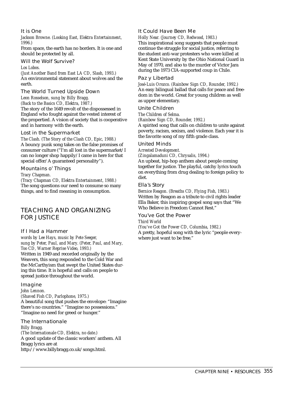## It is One

*Jackson Browne. (Looking East, Elektra Entertainment, 1996.)*

From space, the earth has no borders. It is one and should be protected by all.

## Will the Wolf Survive?

#### *Los Lobos.*

*(Just Another Band from East LA CD, Slash, 1993.)* An environmental statement about wolves and the earth.

## The World Turned Upside Down

*Leon Rosselson, sung by Billy Bragg. (Back to the Basics CD, Elektra, 1987.)* The story of the 1649 revolt of the dispossessed in England who fought against the vested interest of the propertied. A vision of society that is cooperative and in harmony with the earth.

### Lost in the Supermarket

*The Clash. (The Story of the Clash CD, Epic, 1988.)* A bouncy punk song takes on the false promises of consumer culture ("I'm all lost in the supermarket/I can no longer shop happily/I came in here for that special offer/A guaranteed personality").

## Mountains o' Things

*Tracy Chapman.* 

*(Tracy Chapman CD, Elektra Entertainment, 1988.)* The song questions our need to consume so many things, and to find meaning in consumption.

# TEACHING AND ORGANIZING FOR JUSTICE

## If I Had a Hammer

*words by Lee Hays, music by Pete Seeger, sung by Peter, Paul, and Mary. (Peter, Paul, and Mary, Too CD, Warner Reprise Video, 1993.)* Written in 1949 and recorded originally by the Weavers, this song responded to the Cold War and the McCarthyism that swept the United States during this time. It is hopeful and calls on people to spread justice throughout the world.

## Imagine

*John Lennon. (Shaved Fish CD, Parlophone, 1975.)* A beautiful song that pushes the envelope: "Imagine there's no countries." "Imagine no possessions." "Imagine no need for greed or hunger."

#### The Internationale

*Billy Bragg. (The Internationale CD, Elektra, no date.)* A good update of the classic workers' anthem. All Bragg lyrics are at [http://www.billybragg.co.uk/songs.html.](http://www.billybragg.co.uk/songs.html)

## It Could Have Been Me

*Holly Near. (Journey CD, Redwood, 1983.)* This inspirational song suggests that people must continue the struggle for social justice, referring to the student anti-war protesters who were killed at Kent State University by the Ohio National Guard in May of 1970, and also to the murder of Victor Jara during the 1973 CIA-supported coup in Chile.

### Paz y Libertad

*José-Luis Orozco. (Rainbow Sign CD, Rounder, 1992.)* An easy bilingual ballad that calls for peace and freedom in the world. Great for young children as well as upper elementary.

## Unite Children

*The Children of Selma. (Rainbow Sign CD, Rounder, 1992.)*  A spirited song that calls on children to unite against poverty, racism, sexism, and violence. Each year it is the favorite song of my fifth grade class.

## United Minds

*Arrested Development.*

*(Zingalamaduni CD, Chrysalis, 1994.)* An upbeat, hip-hop anthem about people coming together for justice. The playful, catchy lyrics touch on everything from drug dealing to foreign policy to diet.

### Ella's Story

*Bernice Reagon. (Breaths CD, Flying Fish, 1983.)* Written by Reagon as a tribute to civil rights leader Ella Baker, this inspiring gospel song says that "We Who Believe in Freedom Cannot Rest."

## You've Got the Power

*Third World* 

*(You've Got the Power CD, Columbia, 1982.)* A pretty, hopeful song with the lyric "people everywhere just want to be free."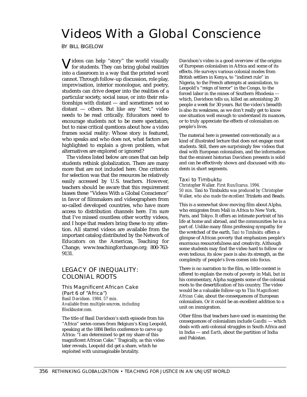# Videos With a Global Conscience

BY BILL BIGELOW

Videos can help "story" the world visually for students. They can bring global realities into a classroom in a way that the printed word cannot. Through follow-up discussion, role play, improvisation, interior monologue, and poetry, students can drive deeper into the realities of a particular society, social issue, or into their relationships with distant — and sometimes not so distant — others. But like any "text," video needs to be read critically. Educators need to encourage students not to be mere spectators, but to raise critical questions about how a video frames social reality: Whose story is featured, who speaks and who does not, what factors are highlighted to explain a given problem, what alternatives are explored or ignored?

The videos listed below are ones that can help students rethink globalization. There are many more that are not included here. One criterion for selection was that the resources be relatively easily accessed by U.S. teachers. However, teachers should be aware that this requirement biases these "Videos With a Global Conscience" in favor of filmmakers and videographers from so-called developed countries, who have more access to distribution channels here. I'm sure that I've missed countless other worthy videos, and I hope that readers bring these to my attention. All starred videos are available from the important catalog distributed by the Network of Educators on the Americas, Teaching for Change, [www.teachingforchange.org;](http://www.teachingforchange.org) 800-763- 9131.

## LEGACY OF INEQUALITY: COLONIAL ROOTS

#### This Magnificent African Cake (Part 6 of "Africa")

*Basil Davidson. 1984. 57 min. Available from multiple sources, including Blockbuster.com.*

The title of Basil Davidson's sixth episode from his "Africa" series comes from Belgium's King Leopold, speaking at the 1884 Berlin conference to carve up Africa: "I am determined to get my share of this magnificent African Cake." Tragically, as this video later reveals, Leopold did get a share, which he exploited with unimaginable brutality.

Davidson's video is a good overview of the origins of European colonialism in Africa and some of its effects. He surveys various colonial modes from British settlers in Kenya, to "indirect rule" in Nigeria, to the French attempts at assimilation, to Leopold's "reign of terror" in the Congo, to the forced labor in the mines of Southern Rhodesia which, Davidson tells us, killed an astonishing 20 people a week for 30 years. But the video's breadth is also its weakness, as we don't really get to know one situation well enough to understand its nuances, or to truly appreciate the effects of colonialism on people's lives.

The material here is presented conventionally as a kind of illustrated lecture that does not engage most students. Still, there are surprisingly few videos that deal with European colonialism, and the information that the eminent historian Davidson presents is solid and can be effectively shown and discussed with students in short segments.

#### Taxi to Timbuktu

*Christopher Walker. First Run/Icarus. 1994. 50 min.* Taxi to Timbuktu *was produced by Christopher Walker, who also made the excellent* Trinkets and Beads.

This is a somewhat slow-moving film about Alpha, who emigrates from Mali in Africa to New York, Paris, and Tokyo. It offers an intimate portrait of his life at home and abroad, and the communities he is a part of. Unlike many films professing sympathy for the wretched of the earth, *Taxi to Timbuktu* offers a glimpse of African poverty that emphasizes people's enormous resourcefulness and creativity. Although some students may find the video hard to follow or even tedious, its slow pace is also its strength, as the complexity of people's lives comes into focus.

There is no narration to the film, so little context is offered to explain the roots of poverty in Mali, but in his commentary, Alpha suggests some of the colonial roots to the desertification of his country. The video would be a valuable follow-up to *This Magnificent African Cake*, about the consequences of European colonialism. Or it could be an excellent addition to a unit on immigration.

Other films that teachers have used in examining the consequences of colonialism include *Gandhi* — which deals with anti-colonial struggles in South Africa and in India — and *Earth*, about the partition of India and Pakistan.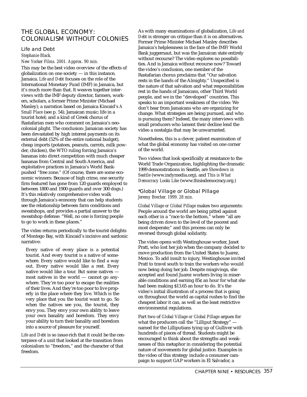# THE GLOBAL ECONOMY: COLONIALISM WITHOUT COLONIES

## Life and Debt

*Stephanie Black.*

*New Yorker Films. 2001. Approx. 90 min.* 

This may be the best video overview of the effects of globalization on one society — in this instance, Jamaica. *Life and Debt* focuses on the role of the International Monetary Fund (IMF) in Jamaica, but it's much more than that. It weaves together interviews with the IMF deputy director, farmers, workers, scholars, a former Prime Minister (Michael Manley); a narration based on Jamaica Kincaid's *A Small Place* (see p. 54); Jamaican music; life in a tourist hotel; and a kind of Greek chorus of Rastafarian men who comment on Jamaica's neocolonial plight. The conclusion: Jamaican society has been devastated by high interest payments on its external debt (52% of the entire national budget), cheap imports (potatoes, peanuts, carrots, milk powder, chicken), the WTO ruling forcing Jamaica's bananas into direct competition with much cheaper bananas from Central and South America, and exploitative practices in Jamaica's World Bankpushed "free zone." (Of course, there are some economic winners: Because of high crime, one security firm featured has gone from 120 guards employed to between 1800 and 1900 guards and over 300 dogs.) It's this relatively comprehensive video walk through Jamaica's economy that can help students see the relationship between farm conditions and sweatshops, and provides a partial answer to the sweatshop defense: "Well, no one is forcing people to go to work in these places."

The video returns periodically to the tourist delights of Montego Bay, with Kincaid's incisive and sardonic narrative:

Every native of every place is a potential tourist. And every tourist is a native of somewhere. Every native would like to find a way out. Every native would like a rest. Every native would like a tour. But some natives most natives in the world  $-$  cannot go anywhere. They're too poor to escape the realities of their lives. And they're too poor to live properly in the place where they live. Which is the very place that you the tourist want to go. So when the natives see you, the tourist, they envy you. They envy your own ability to leave your own banality and boredom. They envy your ability to turn their banality and boredom into a source of pleasure for yourself.

*Life and Debt* is so issue-rich that it could be the centerpiece of a unit that looked at the transition from colonialism to "freedom," and the character of that freedom.

As with many examinations of globalization, *Life and Debt* is stronger on critique than it is on alternatives. Former Prime Minister Michael Manley describes Jamaica's helplessness in the face of the IMF/World Bank juggernaut, but was the Jamaican state entirely without recourse? The video explores no possibilities. And is Jamaica without recourse now? Toward the video's conclusion, one member of the Rastafarian chorus proclaims that "Our salvation rests in the hands of the Almighty." Unspecified is the nature of that salvation and what responsibilities rest in the hands of Jamaicans, other Third World people, and we in the "developed" countries. This speaks to an important weakness of the video: We don't hear from Jamaicans who are organizing for change. What strategies are being pursued, and who is pursuing them? Indeed, the many interviews with small producers who lament their decline lend the video a nostalgia that may be unwarranted.

Nonetheless, this is a clever, patient examination of what the global economy has visited on one corner of the world.

Two videos that look specifically at resistance to the World Trade Organization, highlighting the dramatic 1999 demonstrations in Seattle, are *Showdown in Seattle* [\(www.indymedia.org\), a](http://www.indymedia.org)nd *This is What Democracy Looks Like* [\(www.thisisdemocracy.org.\)](http://www.thisisdemocracy.org)

#### \*Global Village or Global Pillage *Jeremy Brecher. 1999. 28 min.*

*Global Village or Global Pillage* makes two arguments: People around the world are being pitted against each other in a "race to the bottom," where "all are being driven down to the level of the poorest and most desperate;" and this process can only be reversed through global solidarity.

The video opens with Westinghouse worker, Janet Pratt, who lost her job when the company decided to move production from the United States to Juarez, Mexico. To add insult to injury, Westinghouse invited Pratt to travel south to train the workers who would now being doing her job. Despite misgivings, she accepted and found Juarez workers living in miserable conditions and earning 85¢ an hour for what she had been making \$13.65 an hour to do. It's the video's initial illustration of a process that is going on throughout the world as capital rushes to find the cheapest labor it can, as well as the least restrictive environmental regulations.

Part two of *Global Village or Global Pillage* argues for what the producers call the "Lilliput Strategy" named for the Lilliputians tying up of Gulliver with hundreds of pieces of thread. Students might be encouraged to think about the strengths and weaknesses of this metaphor in considering the potential nature of movements for global justice. Examples in the video of this strategy include a consumer campaign to support GAP workers in El Salvador, a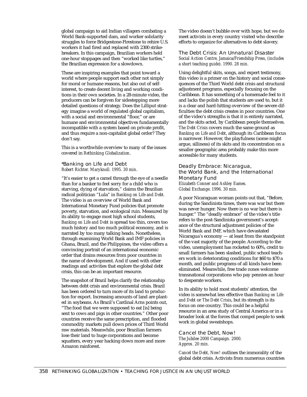global campaign to aid Indian villagers combating a World Bank-supported dam, and worker solidarity struggles to force Bridgestone-Firestone to rehire U.S. workers it had fired and replaced with 2300 strikebreakers. In this campaign, Brazilian workers held one-hour stoppages and then "worked like turtles," the Brazilian expression for a slowdown.

These are inspiring examples that point toward a world where people support each other not simply for moral or humane reasons, but also out of selfinterest, to create decent living and working conditions in their own societies. In a 28-minute video, the producers can be forgiven for sidestepping more detailed questions of strategy. Does the Lilliput strategy imagine a world of regulated global capitalism, with a social and environmental "floor," or are humane and environmental objectives fundamentally incompatible with a system based on private profit, and thus require a non-capitalist global order? They don't say.

This is a worthwhile overview to many of the issues covered in *Rethinking Globalization*.

#### \*Banking on Life and Debt

*Robert Richter. Maryknoll. 1995. 30 min.*

"It's easier to get a camel through the eye of a needle than for a banker to feel sorry for a child who is starving, dying of starvation," claims the Brazilian radical politician "Lula" in *Banking on Life and Debt.* The video is an overview of World Bank and International Monetary Fund policies that promote poverty, starvation, and ecological ruin. Measured by its ability to engage most high school students, *Banking on Life and Debt* is spread too thin, covers too much history and too much political economy, and is narrated by too many talking heads. Nonetheless, through examining World Bank and IMF policies in Ghana, Brazil, and the Philippines, the video offers a convincing portrait of an international economic order that drains resources from poor countries in the name of development. And if used with other readings and activities that explore the global debt crisis, this can be an important resource.

The snapshot of Brazil helps clarify the relationship between debt crisis and environmental crisis. Brazil has been ordered to turn more of its land to production for export. Increasing amounts of land are planted in soybeans. As Brazil's Cardinal Arns points out, "The food that we were supposed to eat [is] being sent to cows and pigs in other countries." Other poor countries receive the same prescription, and flooded commodity markets pull down prices of Third World raw materials. Meanwhile, poor Brazilian farmers lose their land to huge corporations and become squatters, every year hacking down more and more Amazon rainforest.

The video doesn't bubble over with hope, but we do meet activists in every country visited who describe efforts to organize for alternatives to debt slavery.

#### The Debt Crisis: An Unnatural Disaster

*Social Action Centre, Jamaica/Friendship Press, (includes a short teaching guide). 1990. 28 min.*

Using delightful skits, songs, and expert testimony, this video is a primer on the history and social consequences of the Third World debt crisis and structural adjustment programs, especially focusing on the Caribbean. It has something of a homemade feel to it and lacks the polish that students are used to, but it is a clear and hard-hitting overview of the severe difficulties the debt crisis creates in poor countries. One of the video's strengths is that it is entirely narrated, and the skits acted, by Caribbean people themselves. *The Debt Crisis* covers much the same ground as *Banking on Life and Debt*, although its Caribbean focus is narrower. However, the playfulness (some might argue, silliness) of its skits and its concentration on a smaller geographic area probably make this more accessible for many students.

## Deadly Embrace: Nicaragua, the World Bank, and the International Monetary Fund

*Elizabeth Conner and Ashley Eames. Global Exchange. 1996. 30 min.* 

A poor Nicaraguan woman points out that, "Before, during the Sandinista times, there was war but there was never hunger. Now there is no war but there is hunger." The "deadly embrace" of the video's title refers to the post-Sandinista government's acceptance of the structural adjustment policies of the World Bank and IMF, which have devastated Nicaragua's economy — at least from the standpoint of the vast majority of the people. According to the video, unemployment has rocketed to 60%, credit to small farmers has been slashed, public school teachers work in deteriorating conditions for \$60 to \$70 a month, and public programs of all kinds have been eliminated. Meanwhile, free trade zones welcome transnational corporations who pay pennies an hour to desperate workers.

In its ability to hold most students' attention, the video is somewhat less effective than *Banking on Life and Debt* or *The Debt Crisis*, but its strength is its focus on one country. This could be a helpful resource in an area study of Central America or in a broader look at the forces that compel people to seek work in global sweatshops.

#### Cancel the Debt, Now!

*The Jubilee 2000 Campaign. 2000. Approx. 20 min.* 

*Cancel the Debt, Now!* outlines the immorality of the global debt crisis. Activists from numerous countries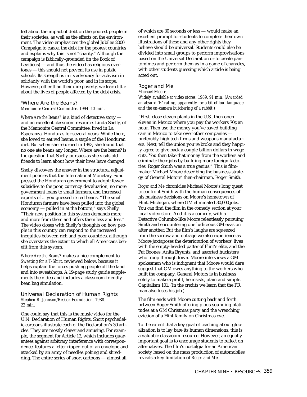tell about the impact of debt on the poorest people in their societies, as well as the effects on the environment. The video emphasizes the global Jubilee 2000 Campaign to cancel the debt for the poorest countries and explains why this is not "charity." Although the campaign is Biblically-grounded (in the Book of Leviticus) — and thus the video has religious overtones — this should not prevent its use in public schools. Its strength is in its advocacy for activism in solidarity with the world's poor, and in its scope. However, other than their dire poverty, we learn little about the lives of people affected by the debt crisis.

### \*Where Are the Beans?

*Mennonite Central Committee. 1994. 13 min.*

*Where Are the Beans?* is a kind of detective story and an excellent classroom resource. Linda Shelly, of the Mennonite Central Committee, lived in La Esperanza, Honduras for several years. While there, she loved to eat red beans, a staple of the Honduran diet. But when she returned in 1993, she found that no one ate beans any longer. Where are the beans? is the question that Shelly pursues as she visits old friends to learn about how their lives have changed.

Shelly discovers the answer in the structural adjustment policies that the International Monetary Fund pressed the Honduran government to adopt: fewer subsidies to the poor, currency devaluation, no more government loans to small farmers, and increased exports of ... you guessed it: red beans. "The small Honduran farmers have been pulled into the global economy — pulled in at the bottom," says Shelly. "Their new position in this system demands more and more from them and offers them less and less." The video closes with Shelly's thoughts on how people in this country can respond to the increased inequities between rich and poor countries, although she overstates the extent to which all Americans benefit from this system.

*Where Are the Beans?* makes a nice complement to *Sweating for a T-Shirt,* reviewed below, because it helps explain the forces pushing people off the land and into sweatshops. A 19-page study guide supplements the video and includes a classroom-friendly bean bag simulation.

#### Universal Declaration of Human Rights *Stephen R. Johnson/Reebok Foundation. 1988. 22 min.*

One could say that this is the music video for the U.N. Declaration of Human Rights. Short psychedelic cartoons illustrate each of the Declaration's 30 articles. They are mostly clever and amusing. For example, the segment for Article 12, which includes guarantees against arbitrary interference with correspondence, features a letter ripped out of an envelope and attacked by an army of needles poking and shredding. The entire series of short cartoons — almost all

of which are 30 seconds or less — would make an excellent prompt for students to complete their own illustrations of these and any other rights they believe should be universal. Students could also be divided into small groups to perform improvisations based on the Universal Declaration or to create pantomimes and perform them as in a game of charades, with other students guessing which article is being acted out.

## Roger and Me

#### *Michael Moore*.

*Widely available at video stores. 1989. 91 min. (Awarded an absurd 'R' rating, apparently for a bit of foul language and the on-camera butchering of a rabbit.)* 

"First, close eleven plants in the U.S., then open eleven in Mexico where you pay the workers 70¢ an hour. Then use the money you've saved building cars in Mexico to take over other companies preferably high tech firms and weapons manufacturers. Next, tell the union you're broke and they happily agree to give back a couple billion dollars in wage cuts. You then take that money from the workers and eliminate their jobs by building more foreign factories. Roger Smith was a true genius." This is filmmaker Michael Moore describing the business strategy of General Motors' then-chairman, Roger Smith.

*Roger and Me* chronicles Michael Moore's long quest to confront Smith with the human consequences of his business decisions on Moore's hometown of Flint, Michigan, where GM eliminated 30,000 jobs. You can find the film in the comedy section at your local video store. And it is a comedy, with a Detective Columbo-like Moore relentlessly pursuing Smith and encountering one ludicrous GM evasion after another. But the film's laughs are squeezed from the sorrow and outrage we also experience as Moore juxtaposes the deterioration of workers' lives with the empty-headed patter of Flint's elite, and the Pat Boones, Anita Bryants, and assorted hucksters who troop through town. Moore interviews a GM spokesman who is indignant that Moore would dare suggest that GM owes anything to the workers who built the company. General Motors is in business solely to make a profit, he insists, plain and simple. Capitalism 101. (In the credits we learn that the PR man also loses his job.)

The film ends with Moore cutting back and forth between Roger Smith offering pious-sounding platitudes at a GM Christmas party and the wrenching eviction of a Flint family on Christmas eve.

To the extent that a key goal of teaching about globalization is to lay bare its human dimensions, this is a valuable classroom resource. However, an equally important goal is to encourage students to reflect on alternatives. The film's nostalgia for an American society based on the mass production of automobiles reveals a key limitation of *Roger and Me*.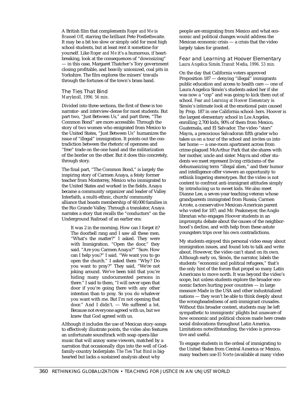A British film that complements *Roger and Me* is *Brassed Off*, starring the brilliant Pete Postlethwaite. It may be a bit too slow or simply odd for most high school students, but at least rent it sometime for yourself. Like *Roger and Me* it's a humorous, if heartbreaking, look at the consequences of "downsizing" — in this case, Margaret Thatcher's Tory government closing profitable, and heavily unionized, coal pits in Yorkshire. The film explores the miners' travails through the fortunes of the town's brass band.

#### The Ties That Bind *Maryknoll, 1996. 56 min.*

Divided into three sections, the first of these is too narrator- and interview-dense for most students. But part two, "Just Between Us," and part three, "The Common Bond" are more accessible. Through the story of two women who emigrated from Mexico to the United States, "Just Between Us" humanizes the issue of "illegal" immigration. It points out the contradiction between the rhetoric of openness and "free" trade on the one hand and the militarization of the border on the other. But it does this concretely, through story.

The final part, "The Common Bond," is largely the inspiring story of Carmen Anaya, a feisty former teacher from Monterrey, Mexico who immigrated to the United States and worked in the fields. Anaya became a community organizer and leader of Valley Interfaith, a multi-ethnic, church/community alliance that boasts membership of 60,000 families in the Rio Grande Valley. Through a translator, Anaya narrates a story that recalls the "conductors" on the Underground Railroad of an earlier era:

It was 2 in the morning. How can I forget it? The doorbell rang and I saw all these men. "What's the matter?" I asked. They were with Immigration. "Open the door," they said. "Are you Carmen Anaya?" "Sure. How can I help you?" I said. "We want you to go open the church." I asked them "Why? Do you want to pray?" They said, "We're not joking around. We've been told that you're hiding many undocumented persons in there." I said to them, "I will never open that door if you're going there with any other intention than to pray. So you do whatever you want with me. But I'm not opening that door." And I didn't. — We suffered a lot. Because not everyone agreed with us, but we knew that God agreed with us.

Although it includes the use of Mexican story-songs to effectively illustrate points, the video also features an unfortunate soundtrack with soap opera-like music that will annoy some viewers, matched by a narration that occasionally dips into the well of Godfamily-country boilerplate. *The Ties That Bind* is bighearted but lacks a sustained analysis about why

people are emigrating from Mexico and what economic and political changes would address the Mexican economic crisis — a crisis that the video largely takes for granted.

#### Fear and Learning at Hoover Elementary *Laura Angelica Simón.Transit Media, 1996. 53 min.*

On the day that California voters approved Proposition 187 — denying "illegal" immigrants public education and access to health care — one of Laura Angelica Simón's students asked her if she was now a "cop" and was going to kick them out of school. *Fear and Learning at Hoover Elementary* is Simón's intimate look at the emotional pain caused by Prop. 187 in one California school: hers. Hoover is the largest elementary school in Los Angeles, enrolling 2,700 kids, 90% of them from Mexico, Guatemala, and El Salvador. The video "stars" Mayra, a precocious Salvadoran fifth grader who takes us on a tour of the school and invites us into her home — a one-room apartment across from crime-plagued McArthur Park that she shares with her mother, uncle and sister. Mayra and other students we meet represent living criticisms of the dehumanizing term "illegal alien," and their humor and intelligence offer viewers an opportunity to rethink lingering stereotypes. But the video is not content to confront anti-immigrant attitudes simply by introducing us to sweet kids. We also meet Dianne Lee, a seven-year teaching veteran whose grandparents immigrated from Russia; Carmen Arcote, a conservative Mexican-American parent who voted for 187; and Mr. Peakmeyer, the Anglo librarian who engages Hoover students in an impromptu debate about the causes of the neighborhood's decline, and with help from these astute youngsters trips over his own contradictions.

My students enjoyed this personal video essay about immigration issues, and found lots to talk and write about. However, the video can't stand on its own. Although early on, Simón, the narrator, labels the students "economic and political refugees," that's the only hint of the forces that propel so many Latin Americans to move north. It was beyond the video's scope, but unless students explore the broader economic factors hurting poor countries — in large measure Made in the USA and other industrialized nations — they won't be able to think deeply about the wrongheadedness of anti-immigrant crusades. Without this broader context, students may be left sympathetic to immigrants' plights but unaware of how economic and political choices made here create social dislocations throughout Latin America. Limitations notwithstanding, the video is provocative and useful.

To engage students in the ordeal of immigrating to the United States from Central America or Mexico, many teachers use *El Norte* (available at many video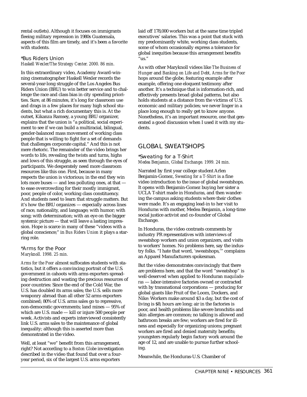rental outlets). Although it focuses on immigrants fleeing military repression in 1980s Guatemala, aspects of this film are timely, and it's been a favorite with students.

### \*Bus Riders Union

*Haskell Wexler/The Strategy Center. 2000. 86 min.* 

In this extraordinary video, Academy Award-winning cinematographer Haskell Wexler records the several-year-long struggle of the Los Angeles Bus Riders Union (BRU) to win better service and to challenge the race and class bias in city spending priorities. Sure, at 86 minutes, it's long for classroom use and drags in a few places for many high school students, but what a rich documentary this is. At the outset, Kikanza Ramsey, a young BRU organizer, explains that the union is "a political, social experiment to see if we can build a multiracial, bilingual, gender-balanced mass movement of working class people that is willing to fight for a set of demands that challenges corporate capital." And this is not mere rhetoric. The remainder of the video brings her words to life, revealing the twists and turns, highs and lows of this struggle, as seen through the eyes of participants. We desperately need more classroom resources like this one. First, because in many respects the union is victorious; in the end they win lots more buses — and less polluting ones, at that to ease overcrowding for their mostly immigrant, poor, people of color, working class constituency. And students need to learn that struggle matters. But it's how the BRU organizes — especially across lines of race, nationality, and language; with humor; with song; with determination; with an eye on the bigger systemic picture — that will leave a lasting impression. Hope is scarce in many of these "videos with a global conscience;" in *Bus Riders Union* it plays a starring role.

#### \*Arms for the Poor *Maryknoll. 1998. 25 min.*

*Arms for the Poor* almost suffocates students with statistics, but it offers a convincing portrait of the U.S. government in cahoots with arms exporters spreading destruction and wasting the precious resources of poor countries: Since the end of the Cold War, the U.S. has doubled its arms sales; the U.S. sells more weaponry abroad than all other 52 arms exporters combined; 80% of U.S. arms sales go to repressive, non-democratic governments; land mines — 95% of which are U.S. made — kill or injure 500 people per week. Activists and experts interviewed consistently link U.S. arms sales to the maintenance of global inequality; although this is asserted more than demonstrated in the video.

Well, at least "we" benefit from this arrangement, right? Not according to a *Boston Globe* investigation described in the video that found that over a fouryear period, six of the largest U.S. arms exporters

laid off 178,000 workers but at the same time tripled executives' salaries. This was a point that stuck with my predominantly white, working class students, some of whom occasionally express a tolerance for global inequities because this arrangement benefits "us."

As with other Maryknoll videos like *The Business of Hunger* and *Banking on Life and Debt, Arms for the Poor* hops around the globe, featuring example after example, offering one eloquent testimony after another. It's a technique that is information-rich, and effectively presents broad global patterns, but also holds students at a distance from the victims of U.S. economic and military policies; we never linger in a place long enough to really get to know anyone. Nonetheless, it's an important resource, one that generated a good discussion when I used it with my students.

# GLOBAL SWEATSHOPS

#### \*Sweating for a T-Shirt

*Medea Benjamin, Global Exchange. 1999. 24 min.* 

Narrated by first year college student Arlen Benjamin-Gomez, *Sweating for a T-Shirt* is a fine video introduction to the issue of global sweatshops. It opens with Benjamin-Gomez buying her sister a UCLA T-shirt made in Honduras, and then wandering the campus asking students where their clothes were made. It's an engaging lead-in to her visit to Honduras with mother, Medea Benjamin, a long-time social justice activist and co-founder of Global Exchange.

In Honduras, the video contrasts comments by industry PR representatives with interviews of sweatshop workers and union organizers, and visits to workers' homes. No problems here, say the industry folks. "I hate that word, 'sweatshops,'" complains an Apparel Manufacturers spokesman.

But the video demonstrates convincingly that there are problems here, and that the word "sweatshop" is well-deserved when applied to Honduran *maquiladoras* — labor-intensive factories owned or contracted with by transnational corporations — producing for global giants like Fruit of the Loom, Dockers, and Nike: Workers make around \$3 a day, but the cost of living is \$8; hours are long; air in the factories is poor, and health problems like severe bronchitis and skin allergies are common; no talking is allowed and bathroom breaks are few; workers are fired for illness and especially for organizing unions; pregnant workers are fired and denied maternity benefits; youngsters regularly begin factory work around the age of 12, and are unable to pursue further schooling.

Meanwhile, the Honduras-U.S. Chamber of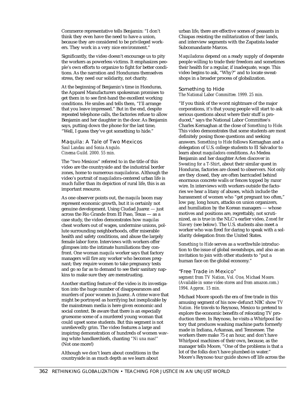Commerce representative tells Benjamin: "I don't think they even have the need to have a union, because they are considered to be privileged workers. They work in a very nice environment."

Significantly, the video doesn't encourage us to pity the workers as powerless victims. It emphasizes people's own efforts to organize to fight for better conditions. As the narration and Hondurans themselves stress, they need our solidarity, not charity.

At the beginning of Benjamin's time in Honduras, the Apparel Manufacturers spokesman promises to get them in to see first-hand the excellent working conditions. He smiles and tells them, "I'll arrange that you leave impressed." But in the end, despite repeated telephone calls, the factories refuse to allow Benjamin and her daughter in the door. As Benjamin says, putting down the phone for the last time, "Well, I guess they've got something to hide."

### *Maquila*: A Tale of Two Mexicos

*Saul Landau and Sonia Angulo. Cinema Guild. 2000. 55 min.* 

The "two Mexicos" referred to in the title of this video are the countryside and the industrial border zones, home to numerous *maquiladoras*. Although the video's portrait of *maquiladora*-centered urban life is much fuller than its depiction of rural life, this is an important resource.

As one observer points out, the *maquila* boom may represent economic growth, but it is certainly not genuine development. Using Ciudad Juarez — just across the Rio Grande from El Paso, Texas — as a case study, the video demonstrates how *maquilas* cheat workers out of wages, undermine unions, pollute surrounding neighborhoods, offer miserable health and safety conditions, and abuse the largely female labor force. Interviews with workers offer glimpses into the intimate humiliations they confront. One woman *maquila* worker says that factory managers will fire any worker who becomes pregnant; they require women to take pregnancy tests and go so far as to demand to see their sanitary napkins to make sure they are menstruating.

Another startling feature of the video is its investigation into the huge number of disappearances and murders of poor women in Juarez. A crime wave that might be portrayed as horrifying but inexplicable by the mainstream media is here given economic and social context. Be aware that there is an especially gruesome scene of a murdered young woman that could upset some students. But this segment is not unrelievedly grim. The video features a large and inspiring demonstration of hundreds of women waving white handkerchiefs, chanting *"Ni una mas!"* (Not one more!)

Although we don't learn about conditions in the countryside in as much depth as we learn about

urban life, there are effective scenes of peasants in Chiapas resisting the militarization of their lands, and interview segments with the Zapatista leader Subcomandante Marcos.

*Maquiladoras* depend on a ready supply of desperate people willing to trade their freedom and sometimes their health for a regular, if inadequate, wage. This video begins to ask, "Why?" and to locate sweatshops in a broader process of globalization.

### Something to Hide

*The National Labor Committee. 1999. 25 min.*

"If you think of the worst nightmare of the major corporations, it's that young people will start to ask serious questions about where their stuff is produced," says the National Labor Committee's Charles Kernaghan at the close of *Something to Hide.* This video demonstrates that some students are most definitely posing those questions and seeking answers. *Something to Hide* follows Kernaghan and a delegation of U.S. college students to El Salvador to learn about *maquiladora* conditions. As Medea Benjamin and her daughter Arlen discover in *Sweating for a T-Shirt*, about their similar quest in Honduras, factories are closed to observers. Not only are they closed, they are often barricaded behind enormous concrete walls or fences topped by razor wire. In interviews with workers outside the factories we hear a litany of abuses, which include the harassment of women who "get pregnant too often," low pay, long hours, attacks on union organizers, and humiliation by the Korean managers — whose motives and positions are, regrettably, not scrutinized, as is true in the NLC's earlier video, *Zoned for Slavery* (see below). The U.S. students also meet a worker who was fired for daring to speak with a solidarity delegation from the United States.

*Something to Hide* serves as a worthwhile introduction to the issue of global sweatshops, and also as an invitation to join with other students to "put a human face on the global economy."

#### "Free Trade in Mexico"

*segment from TV Nation, Vol. One, Michael Moore. (Available in some video stores and fro[m amazon.com.\)](http://www.amazon.com) 1994. Approx. 15 min.*

Michael Moore spoofs the era of free trade in this amusing segment of his now-defunct NBC show *TV Nation.* He travels to Reynoso, Mexico to pretend to explore the economic benefits of relocating TV production there. In Reynoso, he visits a Whirlpool factory that produces washing machine parts formerly made in Indiana, Arkansas, and Tennessee. The workers there make 75 ¢ an hour, and don't have Whirlpool machines of their own, because, as the manager tells Moore, "One of the problems is that a lot of the folks don't have plumbed-in water." Moore's Reynoso tour guide shows off life across the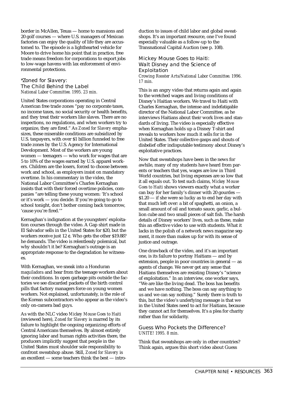border in McAllen, Texas — home to mansions and 20 golf courses — where U.S. managers of Mexican factories can enjoy the quality of life they are accustomed to. The episode is a lighthearted vehicle for Moore to drive home his point that in practice, free trade means freedom for corporations to export jobs to low-wage havens with lax enforcement of environmental protections.

#### \*Zoned for Slavery: The Child Behind the Label *National Labor Committee. 1995. 23 min.*

United States corporations operating in Central American free trade zones "pay no corporate taxes, no income taxes, no social security or health benefits, and they treat their workers like slaves. There are no inspections, no regulations, and when workers try to organize, they are fired." As *Zoned for Slavery* emphasizes, these miserable conditions are subsidized by U.S. taxpayers, with over \$1 billion funneled to free trade zones by the U.S. Agency for International Development. Most of the workers are young women — teenagers — who work for wages that are 5 to 10% of the wages earned by U.S. apparel workers. Children are the losers, forced to choose between work and school, as employers insist on mandatory overtime. In his commentary in the video, the National Labor Committee's Charles Kernaghan insists that with their forced overtime policies, companies "are telling these young women: 'It's school or it's work — you decide. If you're going to go to school tonight, don't bother coming back tomorrow, 'cause you're fired.'"

Kernaghan's indignation at the youngsters' exploitation courses through the video. A Gap shirt made in El Salvador sells in the United States for \$20, but the workers receive just 12 ¢. Who gets the other \$19.88? he demands. The video is relentlessly polemical, but why shouldn't it be? Kernaghan's outrage is an appropriate response to the degradation he witnesses.

With Kernaghan, we sneak into a Honduran *maquiladora* and hear from the teenage workers about their conditions. In open garbage pits outside the factories we see discarded packets of the birth control pills that factory managers force on young women workers. Not explained, unfortunately, is the role of the Korean subcontractors who appear as the video's only on-camera bad guys.

As with the NLC video *Mickey Mouse Goes to Haiti* (reviewed here), *Zoned for Slavery* is marred by its failure to highlight the ongoing organizing efforts of Central Americans themselves. By almost entirely ignoring labor and human rights activities there, the producers implicitly suggest that people in the United States must shoulder sole responsibility to confront sweatshop abuse. Still, *Zoned for Slavery* is an excellent — some teachers think the best — introduction to issues of child labor and global sweatshops. It's an important resource, one I've found especially valuable as a follow-up to the Transnational Capital Auction (see p. 108).

## Mickey Mouse Goes to Haiti: Walt Disney and the Science of **Exploitation**

*Crowing Rooster Arts/National Labor Committee. 1996. 17 min.*

This is an angry video that returns again and again to the wretched wages and living conditions of Disney's Haitian workers. We travel to Haiti with Charles Kernaghan, the intense and indefatigable director of the National Labor Committee, as he interviews Haitians about their work lives and standards of living. The video is especially effective when Kernaghan holds up a Disney T-shirt and reveals to workers how much it sells for in the United States. Their collective gasps and shouts of disbelief offer indisputable testimony about Disney's exploitative practices.

Now that sweatshops have been in the news for awhile, many of my students have heard from parents or teachers that yes, wages are low in Third World countries, but living expenses are so low that it all equals out. To test such claims, *Mickey Mouse Goes to Haiti* shows viewers exactly what a worker can buy for her family's dinner with 20 gourdes — \$1.20 — if she were so lucky as to end her day with that much left over: a bit of spaghetti, an onion, a small amount of oil and tomato sauce, garlic, a bullion cube and two small pieces of salt fish. The harsh details of Disney workers' lives, such as these, make this an effective video to use with students. What it lacks in the polish of a network news magazine segment, it more than makes up for with its sense of justice and outrage.

One drawback of the video, and it's an important one, is its failure to portray Haitians — and by extension, people in poor countries in general — as agents of change. We never get any sense that Haitians themselves are resisting Disney's "science of exploitation." In an interview, one worker says, "We are like the living dead. The boss has benefits and we have nothing. The boss can say anything to us and we can say nothing." Surely there is truth to this, but the video's underlying message is that we in the United States need to act for Haitians, because they cannot act for themselves. It's a plea for charity rather than for solidarity.

### Guess Who Pockets the Difference? *UNITE! 1995. 8 min.*

Think that sweatshops are only in other countries? Think again, argues this short video about Guess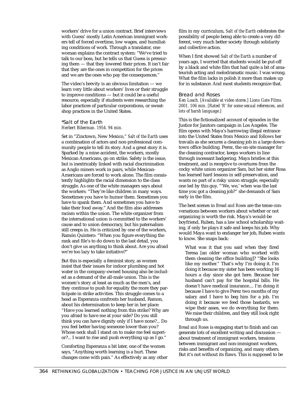workers' drive for a union contract. Brief interviews with Guess' mostly Latin American immigrant workers tell of forced overtime, low wages, and humiliating conditions of work. Through a translator, one woman explains the contract system: "We've tried to talk to our boss, but he tells us that Guess is pressuring them — that they lowered their prices. It isn't fair that they are the ones in competition for the prices and we are the ones who pay the consequences."

The video's brevity is an obvious limitation — we learn very little about workers' lives or their struggle to improve conditions — but it could be a useful resource, especially if students were researching the labor practices of particular corporations, or sweatshop practices in the United States.

#### \*Salt of the Earth

*Herbert Biberman. 1954. 94 min.* 

Set in "Zinctown, New Mexico," *Salt of the Earth* uses a combination of actors and non-professional community people to tell its story. And a great story it is. Sparked by a mine accident, the workers, mostly Mexican Americans, go on strike. Safety is the issue, but is inextricably linked with racial discrimination as Anglo miners work in pairs, while Mexican-Americans are forced to work alone. The film consistently highlights the racial dimension to the class struggle. As one of the white managers says about the workers: "They're like children in many ways. Sometimes you have to humor them. Sometimes you have to spank them. And sometimes you have to take their food away." And the film also addresses racism within the union. The white organizer from the international union is committed to the workers' cause and to union democracy, but his paternalism still creeps in. He is criticized by one of the workers, Ramón Quintero: "When you figure everything the rank and file's to do down to the last detail, you don't give us anything to think about. Are you afraid we're too lazy to take initiative?"

But this is especially a feminist story, as women insist that their issues for indoor plumbing and hot water in the company-owned housing also be included as a demand of the all-male union. This is the women's story at least as much as the men's, and they continue to push for equality the more they participate in strike activities. This struggle comes to a head as Esperanza confronts her husband, Ramon, about his determination to keep her in her place: "Have you learned nothing from this strike? Why are you afraid to have me at your side? Do you still think you can have dignity only if I have none?... Do you feel better having someone lower than you? Whose neck shall I stand on to make me feel superior?... I want to rise and push everything up as I go."

Comforting Esperanza a bit later, one of the women says, "Anything worth learning is a hurt. These changes come with pain." As effectively as any other film in my curriculum, *Salt of the Earth* celebrates the possibility of people being able to create a very different, very much better society through solidarity and collective action.

When I first showed *Salt of the Earth* a number of years ago, I worried that students would be put-off by a black and white film that had quite a bit of amateurish acting and melodramatic music. I was wrong. What the film lacks in polish it more than makes up for in substance. And most students recognize that.

#### Bread and Roses

*Ken Loach. [Available at video stores.] Lions Gate Films. 2001. 106 min. [Rated 'R' for some sexual references, and lots of harsh language.]*

This is the fictionalized account of episodes in the Justice for Janitors campaign in Los Angeles. The film opens with Maya's harrowing illegal entrance into the United States from Mexico and follows her travails as she secures a cleaning job in a large downtown office building. Perez, the on-site manager for the cleaning contractor, keeps workers in line through incessant badgering. Maya bristles at this treatment, and is receptive to overtures from the cocky white union organizer Sam, but her sister Rosa has learned hard lessons in self-preservation, and wants no part of a risky union struggle, especially one led by this guy. "'We, we,' when was the last time you got a cleaning job?" she demands of Sam early in the film.

The best scenes in *Bread and Roses* are the tense conversations between workers about whether or not organizing is worth the risk. Maya's would-be boyfriend, Ruben, has a law school scholarship waiting, if only he plays it safe and keeps his job. Why would Maya want to endanger her job, Ruben wants to know. She snaps back:

What was it that you said when they fired Teresa [an older woman who worked with them cleaning the office building]? "She looks like my mother." That's why I'm doing it. I'm doing it because my sister has been working 16 hours a day since she got here. Because her husband can't pay for the hospital bills. He doesn't have medical insurance.... I'm doing it because I have to give Perez two months of my salary and I have to beg him for a job. I'm doing it because we feed those bastards, we wipe their asses, we do everything for them. We raise their children, and they still look right through us.

*Bread and Roses* is engaging start to finish and can generate lots of excellent writing and discussion about treatment of immigrant workers, tensions between immigrant and non-immigrant workers, risks and benefits of organizing, and many others. But it's not without its flaws. This is supposed to be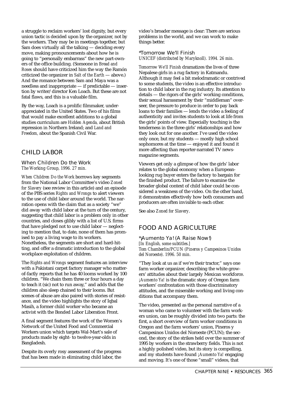a struggle to reclaim workers' lost dignity, but every union tactic is decided upon by the organizer, not by the workers. They may be in meetings together, but Sam does virtually all the talking — deciding every move, making pronouncements about how he is going to "personally embarrass" the new part-owners of the office building. (Someone in *Bread and Roses* should have criticized him the way the Ramón criticized the organizer in *Salt of the Earth* — above.) And the romance between Sam and Maya was a needless and inappropriate — if predictable — insertion by writer/director Ken Loach. But these are not fatal flaws, and this is a valuable film.

By the way, Loach is a prolific filmmaker, underappreciated in the United States. Two of his films that would make excellent additions to a global studies curriculum are *Hidden Agenda,* about British repression in Northern Ireland; and *Land and Freedom,* about the Spanish Civil War.

# CHILD LABOR

### When Children Do the Work

*The Working Group, 1996. 27 min.* 

*When Children Do the Work* borrows key segments from the National Labor Committee's video *Zoned for Slavery* (see review in this article) and an episode of the PBS series *Rights and Wrongs* to alert viewers to the use of child labor around the world. The narration opens with the claim that as a society "we" did away with child labor at the turn of the century, suggesting that child labor is a problem only in other countries, and closes glibly with a list of U.S. firms that have pledged not to use child labor — neglecting to mention that, to date, none of them has promised to pay a living wage to its workers. Nonetheless, the segments are short and hard-hitting, and offer a dramatic introduction to the global workplace exploitation of children.

The *Rights and Wrongs* segment features an interview with a Pakistani carpet factory manager who matterof-factly reports that he has 40 looms worked by 100 children. "We chain them three or four hours a day to teach it (sic) not to run away," and adds that the children also sleep chained to their looms. But scenes of abuse are also paired with stories of resistance, and the video highlights the story of Iqbal Masih, a former child worker who became an activist with the Bonded Labor Liberation Front.

A final segment features the work of the Women's Network of the United Food and Commercial Workers union which targets Wal-Mart's sale of products made by eight- to twelve-year-olds in Bangladesh.

Despite its overly rosy assessment of the progress that has been made in eliminating child labor, the video's broader message is clear: There are serious problems in the world, and we can work to make things better.

## \*Tomorrow We'll Finish

*UNICEF (distributed by Maryknoll). 1994. 26 min.* 

*Tomorrow We'll Finish* dramatizes the lives of three Nepalese girls in a rug factory in Katmandu. Although it may feel a bit melodramatic or contrived to some students, the video is an effective introduction to child labor in the rug industry. Its attention to details — the rigors of the girls' working conditions, their sexual harassment by their "middleman" overseer, the pressure to produce in order to pay back loans to their families — lends the video a feeling of authenticity and invites students to look at life from the girls' points of view. Especially touching is the tenderness in the three girls' relationships and how they look out for one another. I've used the video only once, but my students — mostly high school sophomores at the time — enjoyed it and found it more affecting than reporter-narrated TV newsmagazine segments.

Viewers get only a glimpse of how the girls' labor relates to the global economy when a Europeanlooking rug buyer enters the factory to bargain for the finished product. The failure to examine the broader global context of child labor could be considered a weakness of the video. On the other hand, it demonstrates effectively how both consumers and producers are often invisible to each other.

See also *Zoned for Slavery*.

## FOOD AND AGRICULTURE

#### *\*¡Aumento Ya!* (A Raise Now!)

*[In English, some subtitles.] Tom Chamberlin/PCUN (Pineros y Campesinos Unidos del Noroeste). 1996. 50 min.* 

"They look at us as if we're their tractor," says one farm worker organizer, describing the white growers' attitudes about their largely Mexican workforce. *¡Aumento Ya!* is the dramatic story of Oregon farm workers' confrontation with those discriminatory attitudes, and the miserable working and living conditions that accompany them.

The video, presented as the personal narrative of a woman who came to volunteer with the farm workers union, can be roughly divided into two parts: the first, a short overview of farm worker conditions in Oregon and the farm workers' union, Pineros y Campesinos Unidos del Noroeste (PCUN); the second, the story of the strikes held over the summer of 1995 by workers in the strawberry fields. This is not a highly polished video, but its story is compelling, and my students have found *¡Aumento Ya!* engaging and moving. It's one of those "small" videos, that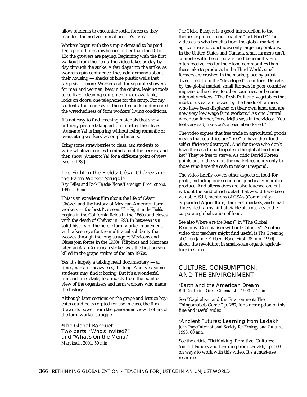allow students to encounter social forces as they manifest themselves in real people's lives.

Workers begin with the simple demand to be paid 17¢ a pound for strawberries rather than the 10 to 12¢ the growers are paying. Beginning with the first walkout from the fields, the video takes us day by day through the strike. A few days into the strike, as workers gain confidence, they add demands about their housing — shacks of blue plastic walls that sleep six or more. Workers call for separate showers for men and women, heat in the cabins, leaking roofs to be fixed, cleaning equipment made available, locks on doors, one telephone for the camp. For my students, the modesty of these demands underscored the wretchedness of farm workers' living conditions.

It's not easy to find teaching materials that show ordinary people taking action to better their lives. *¡Aumento Ya!* is inspiring without being romantic or overstating workers' accomplishments.

Bring some strawberries to class, ask students to write whatever comes to mind about the berries, and then show *¡Aumento Ya!* for a different point of view [see p. 128.]

## The Fight in the Fields: César Chávez and the Farm Worker Struggle

*Ray Telles and Rick Tejada-Flores/Paradigm Productions. 1997. 116 min.* 

This is an excellent film about the life of César Chávez and the history of Mexican-American farm workers — the best I've seen. *The Fight in the Fields* begins in the California fields in the 1860s and closes with the death of Chávez in 1993. In between is a solid history of the heroic farm worker movement, with a keen eye for the multiracial solidarity that weaves through the long struggle: Mexicans and Okies join forces in the 1930s, Filipinos and Mexicans later; an Arab-American striker was the first person killed in the grape strikes of the late 1960s.

Yes, it's largely a talking head documentary — at times, narrator-heavy. Yes, it's long. And, yes, some students may find it boring. But it's a wonderful film, rich in details, told mostly from the point of view of the organizers and farm workers who made the history.

Although later sections on the grape and lettuce boycotts could be excerpted for use in class, the film draws its power from the panoramic view it offers of the farm worker struggle.

\*The Global Banquet Two parts: "Who's Invited?" and "What's On the Menu?" *Maryknoll. 2001. 50 min.* 

*The Global Banquet* is a good introduction to the themes explored in our chapter "Just Food?" The video asks who benefits from the global market in agriculture and concludes: only large corporations. In the United States and Canada, small farmers can't compete with the corporate food behemoths, and often receive less for their food commodities than these take to produce. In the Third World, small farmers are crushed in the marketplace by subsidized food from the "developed" countries. Defeated by the global market, small farmers in poor countries migrate to the cities, to other countries, or become migrant workers: "The fresh fruit and vegetables that most of us eat are picked by the hands of farmers who have been displaced on their own land, and are now very low wage farm workers." As one Central American farmer, Jorge Mejia says in the video: "You feel very sad, like you've been abandoned."

The video argues that free trade in agricultural goods means that countries are "free" to have their food self-sufficiency destroyed. And for those who don't have the cash to participate in the global food market? They're free to starve. As critic David Korten points out in the video, the market responds only to those who have the cash to make it respond.

The video briefly covers other aspects of food-forprofit, including one section on genetically modified produce. And alternatives are also touched on, but without the kind of rich detail that would have been valuable. Still, mentions of CSAs (Community-Supported Agriculture), farmers' markets, and small diversified farms hint at viable alternatives to the corporate globalization of food.

See also *Where Are the Beans?* in "The Global Economy: Colonialism without Colonies". Another video that teachers might find useful is *The Greening of Cuba* (Jamie Kibben. Food First. 38 min. 1996) about the revolution in small-scale organic agriculture in Cuba.

## CULTURE, CONSUMPTION, AND THE ENVIRONMENT

#### \*Earth and the American Dream *Bill Couterie. Direct Cinema Ltd. 1993. 77 min.*

See "Capitalism and the Environment: The Thingamabob Game," p. 287, for a description of this fine and useful video.

#### \*Ancient Futures: Learning from Ladakh

*John Page/International Society for Ecology and Culture. 1993. 60 min.* 

See the article "Rethinking 'Primitive' Cultures: *Ancient Futures* and Learning from Ladakh," p. 308, on ways to work with this video. It's a must-use resource.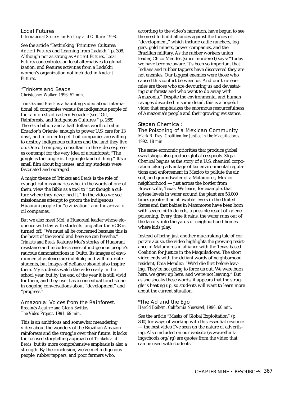## Local Futures

*International Society for Ecology and Culture. 1998.* 

See the article "Rethinking 'Primitive' Cultures: *Ancient Futures* and Learning from Ladakh," p. 308. Although not as strong as *Ancient Futures, Local Futures* concentrates on local alternatives to globalization, and features activities from a Ladakhi women's organization not included in *Ancient Futures.* 

## \*Trinkets and Beads

*Christopher Walker. 1996. 52 min.* 

*Trinkets and Beads* is a haunting video about international oil companies versus the indigenous people of the rainforests of eastern Ecuador (see "Oil, Rainforests, and Indigenous Cultures," p. 268). There's a billion and a half dollars worth of oil in Ecuador's Oriente, enough to power U.S. cars for 13 days, and in order to get it oil companies are willing to destroy indigenous cultures and the land they live on. One oil company consultant in the video expresses contempt for the very idea of a rainforest: "The jungle is the jungle is the jungle kind of thing." It's a small film about big issues, and my students were fascinated and outraged.

A major theme of *Trinkets and Beads* is the role of evangelical missionaries who, in the words of one of them, view the Bible as a tool to "cut though a culture where they never had it." In the video we see missionaries attempt to groom the indigenous Huaorani people for "civilization" and the arrival of oil companies.

But we also meet Moi, a Huaorani leader whose eloquence will stay with students long after the VCR is turned off: "We must all be concerned because this is the heart of the world and here we can breathe." *Trinkets and Beads* features Moi's stories of Huaorani resistance and includes scenes of indigenous people's raucous demonstrations in Quito. Its images of environmental violence are indelible, and will infuriate students, but images of defiance should also inspire them. My students watch the video early in the school year, but by the end of the year it is still vivid for them, and they use it as a conceptual touchstone in ongoing conversations about "development" and "progress."

# Amazonia: Voices from the Rainforest.

*Rosainés Aguirre and Glenn Switkes. The Video Project. 1991. 69 min.* 

This is an ambitious and somewhat meandering video about the wonders of the Brazilian Amazon rainforests and the struggle over their future. It lacks the focused storytelling approach of *Trinkets and Beads*, but its more comprehensive emphasis is also a strength. By the conclusion, we've met indigenous people, rubber tappers, and poor farmers who,

according to the video's narration, have begun to see the need to build alliances against the forces of "development," which include cattle ranchers, loggers, gold miners, power companies, and the Brazilian military. As the rubber workers union leader, Chico Mendes (since murdered) says: "Today we have become aware. It's been so important that Indians and rubber tappers have discovered they are not enemies. Our biggest enemies were those who caused this conflict between us. And our true enemies are those who are devouring us and devastating our forests and who want to do away with Amazonia." Despite the environmental and human ravages described in some detail, this is a hopeful video that emphasizes the enormous resourcefulness of Amazonia's people and their growing resistance.

## Stepan Chemical:

The Poisoning of a Mexican Community *Mark R. Day. Coalition for Justice in the Maquiladoras. 1992. 18 min.* 

The same economic priorities that produce global sweatshops also produce global cesspools. *Stepan Chemical* begins as the story of a U.S. chemical corporation taking advantage of lax environmental regulations and enforcement in Mexico to pollute the air, soil, and groundwater of a Matamoros, Mexico neighborhood — just across the border from Brownsville, Texas. We learn, for example, that xylene levels in water around the plant are 53,000 times greater than allowable levels in the United States and that babies in Matamoros have been born with severe birth defects, a possible result of xylene poisoning. Every time it rains, the water runs out of the factory into the yards of neighborhood homes where kids play.

Instead of being just another muckraking tale of corporate abuse, the video highlights the growing resistance in Matamoros in alliance with the Texas-based Coalition for Justice in the Maquiladoras. The short video ends with the defiant words of neighborhood resident, Ema Mendez: "We'd die first before leaving. They're not going to force us out. We were born here, we grew up here, and we're not leaving." But as she speaks these words, it appears that the struggle is heating up, so students will want to learn more about the current situation.

## \*The Ad and the Ego

*Harold Boihem. California Newsreel, 1996. 60 min.* 

See the article "Masks of Global Exploitation" (p. 300) for ways of working with this essential resource — the best video I've seen on the nature of advertising. Also included on our websit[e \(www.rethink](http://www.rethinkingschools.org/rg)[ingschools.org/rg\) a](http://www.rethinkingschools.org/rg)re quotes from the video that can be used with students.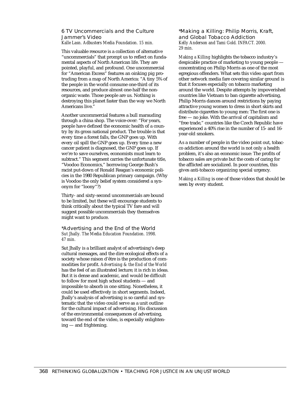## 6 TV Uncommercials and the Culture Jammer's Video

*Kalle Lasn. Adbusters Media Foundation. 15 min.* 

This valuable resource is a collection of alternative "uncommercials" that prompt us to reflect on fundamental aspects of North American life. They are pointed, playful, and profound. One uncommercial for "American Excess" features an oinking pig protruding from a map of North America: "A tiny 5% of the people in the world consume one-third of its resources, and produce almost one-half the nonorganic waste. Those people are us. Nothing is destroying this planet faster than the way we North Americans live."

Another uncommercial features a bull marauding through a china shop. The voice-over: "For years, people have defined the economic health of a country by its gross national product. The trouble is that every time a forest falls, the GNP goes up. With every oil spill the GNP goes up. Every time a new cancer patient is diagnosed, the GNP goes up. If we're to save ourselves, economists must learn to subtract." This segment carries the unfortunate title, "Voodoo Economics," borrowing George Bush's racist put-down of Ronald Reagan's economic policies in the 1980 Republican primary campaign. (Why is Voodoo the only belief system considered a synonym for "loony"?)

Thirty- and sixty-second uncommercials are bound to be limited, but these will encourage students to think critically about the typical TV fare and will suggest possible uncommercials they themselves might want to produce.

#### \*Advertising and the End of the World *Sut Jhally. The Media Education Foundation. 1998. 47 min.*

Sut Jhally is a brilliant analyst of advertising's deep cultural messages, and the dire ecological effects of a society whose raison d'être is the production of commodities for profit. *Advertising & the End of the World* has the feel of an illustrated lecture; it is rich in ideas. But it is dense and academic, and would be difficult to follow for most high school students — and impossible to absorb in one sitting. Nonetheless, it could be used effectively in short segments. Indeed, Jhally's analysis of advertising is so careful and systematic that the video could serve as a unit outline for the cultural impact of advertising. His discussion of the environmental consequences of advertising, toward the end of the video, is especially enlightening — and frightening.

#### \*Making a Killing: Philip Morris, Kraft, and Global Tobacco Addiction *Kelly Anderson and Tami Gold. INFACT. 2000. 29 min.*

*Making a Killing* highlights the tobacco industry's despicable practice of marketing to young people concentrating on Philip Morris as one of the most egregious offenders. What sets this video apart from other network media fare covering similar ground is that it focuses especially on tobacco marketing around the world. Despite attempts by impoverished countries like Vietnam to ban cigarette advertising, Philip Morris dances around restrictions by paying attractive young women to dress in short skirts and distribute cigarettes to young men: The first one is free — no joke. With the arrival of capitalism and "free trade," countries like the Czech Republic have experienced a 40% rise in the number of 15- and 16 year-old smokers.

As a number of people in the video point out, tobacco addiction around the world is not only a health problem, it's also an economic issue: The profits of tobacco sales are private but the costs of caring for the afflicted are socialized. In poor countries, this gives anti-tobacco organizing special urgency.

*Making a Killing* is one of those videos that should be seen by every student.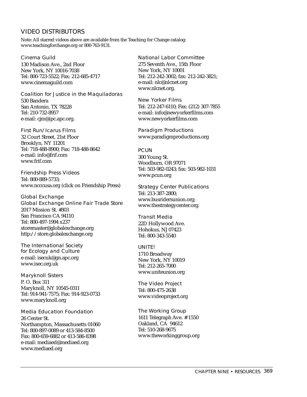# VIDEO DISTRIBUTORS

Note: All starred videos above are available from the Teaching for Change catalog: [www.teachingforchange.org](http://www.teachingforchange.org) or 800-763-9131.

## Cinema Guild

130 Madison Ave., 2nd Floor New York, NY 10016-7038 Tel: 800-723-5522; Fax: 212-685-4717 [www.cinemaguild.com](http://www.cinemaguild.com)

## Coalition for Justice in the Maquiladoras

530 Bandera San Antonio, TX 78228 Tel: 210-732-8957 [e-mail: cjm@ipc.apc.org.](mailto:cjm@ipc.apc.org)

## First Run/Icarus Films

32 Court Street, 21st Floor Brooklyn, NY 11201 Tel: 718-488-8900; Fax: 718-488-8642 [e-mail: info@frif.com](mailto:info@frif.com) [www.frif.com](http://www.frif.com)

Friendship Press Videos Tel: 800-889-5733; [www.ncccusa.org](http://www.ncccusa.org) (click on Friendship Press)

Global Exchange Global Exchange Online Fair Trade Store 2017 Mission St. #303 San Francisco CA 94110 Tel: 800-497-1994 x237 [storemaster@globalexchange.org](mailto:storemaster@globalexchange.org)

The International Society for Ecology and Culture [e-mail: isecuk@gn.apc.org](mailto:isecuk@gn.apc.org) [www.isec.org.uk](http://www.isec.org.uk)

<http://store.globalexchange.org>

## Maryknoll Sisters

P. O. Box 311 Maryknoll, NY 10545-0311 Tel: 914-941-7575; Fax: 914-923-0733 [www.maryknoll.org](http://www.maryknoll.org)

## Media Education Foundation

26 Center St. Northampton, Massachusetts 01060 Tel: 800-897-0089 or 413-584-8500 Fax: 800-659-6882 or 413-586-8398 [e-mail: mediaed@mediaed.org](mailto:mediaed@mediaed.org) [www.mediaed.org](http://www.mediaed.org)

## National Labor Committee

275 Seventh Ave., 15th Floor New York, NY 10001 Tel: 212-242-3002; fax: 212-242-3821; [e-mail: nlc@nlcnet.org](mailto:nlc@nlcnet.org) [www.nlcnet.org.](http://www.nlcnet.org)

## New Yorker Films

Tel: 212-247-6110; Fax: (212) 307-7855 [e-mail: info@newyorkerfilms.com](http://www.nlcnet.org) [www.newyorkerfilms.com](http://www.newyorkerfilms.com) 

## Paradigm Productions

[www.paradigmproductions.org](http://www.paradigmproductions.org)

## PCUN

300 Young St. Woodburn, OR 97071 Tel: 503-982-0243; fax: 503-982-1031 [www.pcun.org](http://www.pcun.org)

## Strategy Center Publications

Tel: 213-387-2800; [www.busridersunion.org;](http://www.busridersunion.org)  [www.thestrategycenter.org.](http://www.thestrategycenter.org)

## Transit Media

22D Hollywood Ave. Hohokus, NJ 07423 Tel: 800-343-5540

## UNITE!

1710 Broadway New York, NY 10019 Tel: 212-265-7000 [www.uniteunion.org](http://www.uniteunion.org) 

## The Video Project

Tel: 800-475-2638 [www.videoproject.org](http://www.videoproject.org)

## The Working Group

1611 Telegraph Ave. # 1550 Oakland, CA 94612 Tel: 510-268-9675 [www.theworkinggroup.org](http://www.theworkinggroup.org)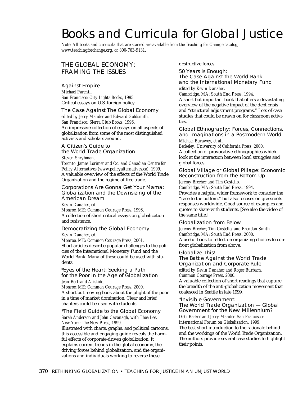# Books and Curricula for Global Justice

*Note: All books and curricula that are starred are available from the Teaching for Change catalog, [www.teachingforchange.org, o](http://www.teachingforchange.org)r 800-763-9131.*

# THE GLOBAL ECONOMY: FRAMING THE ISSUES

## Against Empire

*Michael Parenti. San Francisco: City Lights Books, 1995.* Critical essays on U.S. foreign policy.

## The Case Against The Global Economy

*edited by Jerry Mander and Edward Goldsmith. San Francisco: Sierra Club Books, 1996.*  An impressive collection of essays on all aspects of globalization from some of the most distinguished activists and scholars around.

## A Citizen's Guide to the World Trade Organization

*Steven Shrybman.* 

*Toronto: James Lorimer and Co. and Canadian Centre for Policy Alternative[s \(www.policyalternatives.ca\),](http://www.policyalternatives.ca) 1999.* A valuable overview of the effects of the World Trade Organization and the regime of free trade.

#### Corporations Are Gonna Get Your Mama: Globalization and the Downsizing of the American Dream

*Kevin Danaher, ed.* 

*Monroe, ME: Common Courage Press, 1996*. A collection of short critical essays on globalization and resistance.

## Democratizing the Global Economy

*Kevin Danaher, ed.* 

*Monroe, ME: Common Courage Press, 2001.*  Short articles describe popular challenges to the policies of the International Monetary Fund and the World Bank. Many of these could be used with students.

#### \*Eyes of the Heart: Seeking a Path for the Poor in the Age of Globalization *Jean-Bertrand Aristide.*

*Monroe: ME: Common Courage Press, 2000.* A short but moving book about the plight of the poor in a time of market domination. Clear and brief chapters could be used with students.

## \*The Field Guide to the Global Economy

*Sarah Anderson and John Cavanagh, with Thea Lee. New York: The New Press, 1999.*  Illustrated with charts, graphs, and political cartoons, this accessible and engaging guide reveals the harmful effects of corporate-driven globalization. It explains current trends in the global economy, the driving forces behind globalization, and the organizations and individuals working to reverse these

destructive forces.

## 50 Years is Enough: The Case Against the World Bank and the International Monetary Fund

*edited by Kevin Danaher.* 

*Cambridge, MA: South End Press, 1994.*  A short but important book that offers a devastating overview of the negative impact of the debt crisis and "structural adjustment programs." Lots of case studies that could be drawn on for classroom activities.

#### Global Ethnography: Forces, Connections, and Imaginations in a Postmodern World *Michael Burawoy, et al.,*

*Berkeley: University of California Press, 2000.*  A collection of provocative ethnographies which look at the interaction between local struggles and global forces.

## Global Village or Global Pillage: Economic Reconstruction from the Bottom Up

*Jeremy Brecher and Tim Costello.* 

*Cambridge, MA: South End Press, 1994*.

Provides a helpful wider framework to consider the "race to the bottom," but also focuses on grassroots responses worldwide. Good source of examples and quotes to share with students. [See also the video of the same title.]

## Globalization from Below

*Jeremy Brecher, Tim Costello, and Brendan Smith. Cambridge, MA: South End Press, 2000.* A useful book to reflect on organizing choices to confront globalization from above.

## Globalize This! The Battle Against the World Trade Organization and Corporate Rule

*edited by Kevin Danaher and Roger Burbach, Common Courage Press, 2000.* 

A valuable collection of short readings that capture the breadth of the anti-globalization movement that coalesced in Seattle in late 1999.

## \*Invisible Government:

## The World Trade Organization — Global Government for the New Millennium?

*Debi Barker and Jerry Mander. San Francisco: International Forum on Globalization, 1999.*  The best short introduction to the rationale behind and the workings of the World Trade Organization. The authors provide several case studies to highlight their points.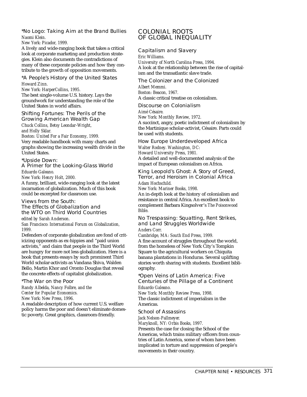## \*No Logo: Taking Aim at the Brand Bullies *Naomi Klein.*

*New York: Picador, 1999.* 

A lively and wide-ranging book that takes a critical look at corporate marketing and production strategies. Klein also documents the contradictions of many of these corporate policies and how they contribute to the growth of opposition movements.

#### \*A People's History of the United States *Howard Zinn.*

*New York: HarperCollins, 1995.* The best single-volume U.S. history. Lays the groundwork for understanding the role of the United States in world affairs.

## Shifting Fortunes: The Perils of the Growing American Wealth Gap

*Chuck Collins, Betsy Leondar-Wright, and Holly Sklar.* 

*Boston: United For a Fair Economy, 1999.*  Very readable handbook with many charts and graphs showing the increasing wealth divide in the United States.

## \*Upside Down:

#### A Primer for the Looking-Glass World *Eduardo Galeano.*

*New York: Henry Holt, 2000.*

A funny, brilliant, wide-ranging look at the latest incarnation of globalization. Much of this book could be excerpted for classroom use.

## Views from the South: The Effects of Globalization and the WTO on Third World Countries

*edited by Sarah Anderson.* 

*San Francisco: International Forum on Globalization, 1999.*

Defenders of corporate globalization are fond of criticizing opponents as ex-hippies and "paid union activists," and claim that people in the Third World are hungry for more not less globalization. Here is a book that presents essays by such prominent Third World scholar-activists as Vandana Shiva, Walden Bello, Martin Khor and Oronto Douglas that reveal the concrete effects of capitalist globalization.

## \*The War on the Poor

*Randy Albelda, Nancy Folbre, and the Center for Popular Economics. New York: New Press, 1996.* A readable description of how current U.S. welfare

policy harms the poor and doesn't eliminate domestic poverty. Great graphics, classroom-friendly.

# COLONIAL ROOTS OF GLOBAL INEQUALITY

## Capitalism and Slavery

*Eric Williams. University of North Carolina Press, 1994.* A look at the relationship between the rise of capitalism and the transatlantic slave trade.

## The Colonizer and the Colonized

*Albert Memmi. Boston: Beacon, 1967.* A classic critical treatise on colonialism.

## Discourse on Colonialism

*Aimé Césaire. New York: Monthly Review, 1972.* A succinct, angry, poetic indictment of colonialism by the Martinique scholar-activist, Césaire. Parts could be used with students.

## How Europe Underdeveloped Africa

*Walter Rodney. Washington, DC: Howard University Press, 1981.* A detailed and well-documented analysis of the impact of European colonialism on Africa.

#### King Leopold's Ghost: A Story of Greed, Terror, and Heroism in Colonial Africa *Adam Hochschild.*

*New York: Mariner Books, 1998.*

An in-depth look at the history of colonialism and resistance in central Africa. An excellent book to complement Barbara Kingsolver's *The Poisonwood Bible*.

#### No Trespassing: Squatting, Rent Strikes, and Land Struggles Worldwide *Anders Corr.*

*Cambridge, MA: South End Press, 1999.* A fine account of struggles throughout the world, from the homeless of New York City's Tompkin Square to the agricultural workers on Chiquita banana plantations in Honduras. Several uplifting stories worth sharing with students. Excellent bibliography.

#### \*Open Veins of Latin America: Five Centuries of the Pillage of a Continent *Eduardo Galeano.*

*New York: Monthly Review Press, 1998.* The classic indictment of imperialism in the Americas.

## School of Assassins

*Jack Nelson-Pallmeyer. Maryknoll, NY: Orbis Books, 1997.* Presents the case for closing the School of the Americas, which trains military officers from countries of Latin America, some of whom have been implicated in torture and suppression of people's movements in their country.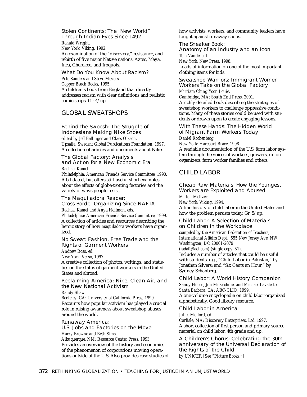## Stolen Continents: The "New World" Through Indian Eyes Since 1492

*Ronald Wright. New York: Viking, 1992.* An examination of the "discovery," resistance, and rebirth of five major Native nations: Aztec, Maya, Inca, Cherokee, and Iroquois.

#### What Do You Know About Racism?

*Pete Sanders and Steve Meyers. Copper Beach Books, 1995.* A children's book from England that directly addresses racism with clear definitions and realistic comic strips. Gr. 4/up.

# GLOBAL SWEATSHOPS

## Behind the Swoosh: The Struggle of Indonesians Making Nike Shoes

*edited by Jeff Ballinger and Claes Olsson. Upsalla, Sweden: Global Publications Foundation, 1997.* A collection of articles and documents about Nike.

#### The Global Factory: Analysis and Action for a New Economic Era *Rachael Kamel.*

*Philadelphia: American Friends Service Committee, 1990.*  A bit dated, but offers still-useful short examples about the effects of globe-trotting factories and the variety of ways people resist.

#### The *Maquiladora* Reader: Cross-Border Organizing Since NAFTA

*Rachael Kamel and Anya Hoffman, eds.* 

*Philadelphia: American Friends Service Committee, 1999.* A collection of articles and resources describing the heroic story of how *maquiladora* workers have organized.

### No Sweat: Fashion, Free Trade and the Rights of Garment Workers

*Andrew Ross, ed.* 

*New York: Verso, 1997.*

A creative collection of photos, writings, and statistics on the status of garment workers in the United States and abroad.

## Reclaiming America: Nike, Clean Air, and the New National Activism

*Randy Shaw.* 

*Berkeley, CA: University of California Press, 1999.* Recounts how popular activism has played a crucial role in raising awareness about sweatshop abuses around the world.

## Runaway America:

#### U.S. Jobs and Factories on the Move *Harry Browne and Beth Sims.*

*Albuquerque, NM: Resource Center Press, 1993.* Provides an overview of the history and economics of the phenomenon of corporations moving operations outside of the U.S. Also provides case studies of how activists, workers, and community leaders have fought against runaway shops.

## The Sneaker Book:

## Anatomy of an Industry and an Icon *Tom Vanderbilt.*

*New York: New Press, 1998.* Loads of information on one of the most important clothing items for kids.

## Sweatshop Warriors: Immigrant Women Workers Take on the Global Factory

*Mirriam Ching Yoon Louie. Cambridge, MA: South End Press, 2001.* A richly detailed book describing the strategies of sweatshop workers to challenge oppressive conditions. Many of these stories could be used with students or drawn upon to create engaging lessons.

# With These Hands: The Hidden World of Migrant Farm Workers Today

*Daniel Rothenberg.* 

*New York: Harcourt Brace, 1998.* A readable documentation of the U.S. farm labor system through the voices of workers, growers, union organizers, farm worker families and others.

## CHILD LABOR

## Cheap Raw Materials: How the Youngest Workers are Exploited and Abused

*Milton Meltzer.* 

*New York: Viking, 1994.* A fine history of child labor in the United States and how the problem persists today. Gr. 5/up.

#### Child Labor: A Selection of Materials on Children in the Workplace

*compiled by the American Federation of Teachers, International Affairs Dept., 555 New Jersey Ave. NW, Washington, DC 20001-2079 (iadaft@aol.com) (single copy, \$1).* Includes a number of articles that could be useful with students, e.g., "Child Labor in Pakistan," by Jonathan Silvers; and "Six Cents an Hour," by Sydney Schanberg.

## Child Labor: A World History Companion

*Sandy Hobbs, Jim McKechnie, and Michael Lavalette. Santa Barbara, CA: ABC-CLIO, 1999.* A one-volume encyclopedia on child labor organized alphabetically. Good library resource.

## Child Labor in America

*Juliet Mofford, ed. Carlisle, MA: Discovery Enterprises, Ltd. 1997.* A short collection of first person and primary source material on child labor. 4th grade and up.

## A Children's Chorus: Celebrating the 30th anniversary of the Universal Declaration of the Rights of the Child

*by UNICEF. [See "Picture Books."]*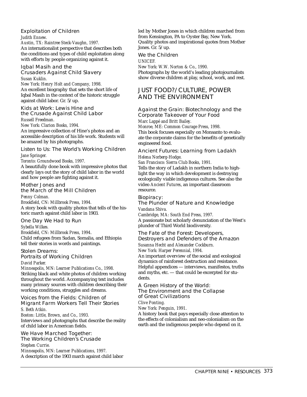## Exploitation of Children

#### *Judith Ennew.*

*Austin, TX: Raintree Steck-Vaughn, 1997.* An internationalist perspective that describes both the conditions and types of child exploitation along with efforts by people organizing against it.

## Iqbal Masih and the Crusaders Against Child Slavery

*Susan Kuklin.* 

*New York: Henry Holt and Company, 1998.* An excellent biography that sets the short life of Iqbal Masih in the context of the historic struggle against child labor. Gr. 5/up.

## Kids at Work: Lewis Hine and the Crusade Against Child Labor

*Russell Freedman.* 

*New York: Clarion Books, 1994.*

An impressive collection of Hine's photos and an accessible description of his life work. Students will be amazed by his photographs.

### Listen to Us: The World's Working Children *Jane Springer.*

*Toronto: Groundwood Books, 1997.*

A beautifully done book with impressive photos that clearly lays out the story of child labor in the world and how people are fighting against it.

## Mother Jones and the March of the Mill Children

*Penny Colman. Brookfield, CN: Millbrook Press, 1994.* A story book with quality photos that tells of the historic march against child labor in 1903.

## One Day We Had to Run

*Sybella Wilkes.* 

*Brookfield, CN: Millbrook Press, 1994*. Child refugees from Sudan, Somalia, and Ethiopia tell their stories in words and paintings.

#### Stolen Dreams: Portraits of Working Children *David Parker.*

*Minneapolis, MN: Learner Publications Co., 1998.* Striking black and white photos of children working throughout the world. Accompanying text includes many primary sources with children describing their working conditions, struggles and dreams.

# Voices from the Fields: Children of Migrant Farm Workers Tell Their Stories

*S. Beth Atkin. Boston: Little, Brown, and Co., 1993.* Interviews and photographs that describe the reality of child labor in American fields.

### We Have Marched Together: The Working Children's Crusade *Stephen Currie.*

*Minneapolis, MN: Learner Publications, 1997.* A description of the 1903 march against child labor led by Mother Jones in which children marched from from Kensington, PA to Oyster Bay, New York. Quality photos and inspirational quotes from Mother Jones. Gr. 5/up.

## We the Children

*UNICEF.* 

*New York: W.W. Norton & Co., 1990.* Photographs by the world's leading photojournalists show diverse children at play, school, work, and rest.

# JUST FOOD?/CULTURE, POWER AND THE ENVIRONMENT

## Against the Grain: Biotechnology and the Corporate Takeover of Your Food

*Marc Lappé and Britt Bailey.* 

*Monroe, ME: Common Courage Press, 1998.* This book focuses especially on Monsanto to evaluate the corporate claims for the benefits of genetically engineered food.

## Ancient Futures: Learning from Ladakh *Helena Norberg-Hodge.*

*San Francisco: Sierra Club Books, 1991.* Tells the story of Ladakh in northern India to highlight the way in which development is destroying ecologically viable indigenous cultures. See also the video *Ancient Futures*, an important classroom resource.

## Biopiracy:

## The Plunder of Nature and Knowledge *Vandana Shiva.*

*Cambridge, MA: South End Press, 1997.* A passionate but scholarly denunciation of the West's plunder of Third World biodiversity.

# The Fate of the Forest: Developers,

#### Destroyers and Defenders of the Amazon *Susanna Hecht and Alexander Cockburn.*

*New York: Harper Perennial, 1994.*

An important overview of the social and ecological dynamics of rainforest destruction and resistance. Helpful appendices — interviews, manifestos, truths and myths, etc. — that could be excerpted for students.

## A Green History of the World: The Environment and the Collapse of Great Civilizations

*Clive Ponting.* 

*New York: Penguin, 1991*.

A history book that pays especially close attention to the effects of colonialism and neo-colonialism on the earth and the indigenous people who depend on it.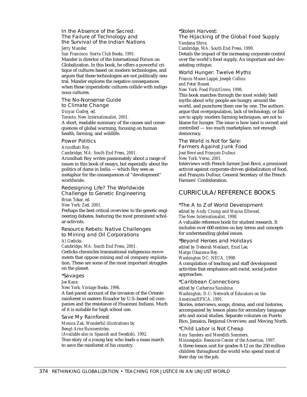#### In the Absence of the Sacred: The Failure of Technology and the Survival of the Indian Nations *Jerry Mander.*

*San Francisco: Sierra Club Books, 1991.* Mander is director of the International Forum on Globalization. In this book, he offers a powerful critique of cultures based on modern technologies, and argues that these technologies are not politically neutral. Mander explores the negative consequences when these imperialistic cultures collide with indigenous cultures.

#### The No-Nonsense Guide to Climate Change

*Dinyar Godrej, ed.* 

*Toronto: New Internationalist, 2001.*

A short, readable summary of the causes and consequences of global warming, focusing on human health, farming, and wildlife.

### Power Politics

#### *Arundhati Roy.*

*Cambridge, MA: South End Press, 2001.* Arundhati Roy writes passionately about a range of issues in this book of essays, but especially about the politics of dams in India — which Roy sees as metaphor for the consequences of "development" worldwide.

#### Redesigning Life? The Worldwide Challenge to Genetic Engineering *Brian Tokar, ed.*

*New York: Zed, 2001.*

Perhaps the best critical overview to the genetic engineering debates, featuring the most prominent scholar-activists.

## Resource Rebels: Native Challenges to Mining and Oil Corporations

*Al Gedicks.* 

*Cambridge, MA: South End Press, 2001.*

Gedicks chronicles transnational indigenous movements that oppose mining and oil company exploitation. These are some of the most important struggles on the planet.

## \*Savages

*Joe Kane.* 

*New York: Vintage Books, 1996.*

A fast-paced account of the invasion of the Oriente rainforest in eastern Ecuador by U.S.-based oil companies and the resistance of Huaorani Indians. Much of it is suitable for high school use.

## Save My Rainforest

*Monica Zak. Wonderful illustrations by Bengt-Arne Runnerström. (Available also in Spanish and Swedish). 1992.* True story of a young boy who leads a mass march to save the rainforest of his country.

#### \*Stolen Harvest: The Hijacking of the Global Food Supply *Vandana Shiva.*

*Cambridge, MA: South End Press, 1999.* Details the impact of the increasing corporate control over the world's food supply. An important and devastating critique.

## World Hunger: Twelve Myths

*Francis Moore Lappé, Joseph Collins and Peter Rosset.* 

*New York: Food First/Grove, 1998.*

This book marches through the most widely held myths about why people are hungry around the world, and punctures them one by one. The authors argue that overpopulation, lack of technology, or failure to apply modern farming techniques, are not to blame for hunger. The issue is how land is owned and controlled — too much marketplace, not enough democracy.

## The World is Not for Sale: Farmers Against Junk Food

*José Bové and François Dufour. New York: Verso, 2001.*

Interviews with French farmer José Bové, a prominent activist against corporate-driven globalization of food, and François Dufour, General Secretary of the French Farmers' Confederation.

# CURRICULA/REFERENCE BOOKS

## \*The A to Z of World Development

*edited by Andy Crump and Wayne Ellwood. The New Internationalist, 1998.* A valuable reference book for student research. It includes over 600 entries on key terms and concepts for understanding global issues.

## \*Beyond Heroes and Holidays

*edited by Deborah Menkart, Enid Lee, Margo Okazawa-Rey. Washington DC: NECA, 1998.* A compilation of teaching and staff development activities that emphasize anti-racist, social justice approaches.

## \*Caribbean Connections

*edited by Catherine Sunshine. Washington, D.C: Network of Educators on the Americas/EPICA, 1991.*

Stories, interviews, songs, drama, and oral histories, accompanied by lesson plans for secondary language arts and social studies. Separate volumes on Puerto Rico, Jamaica, Regional Overview, and Moving North.

## \*Child Labor is Not Cheap

*Amy Sanders and Meredith Sommers. Minneapolis: Resource Center of the Americas, 1997.* 

A three-lesson unit for grades 8-12 on the 250 million children throughout the world who spend most of their day on the job.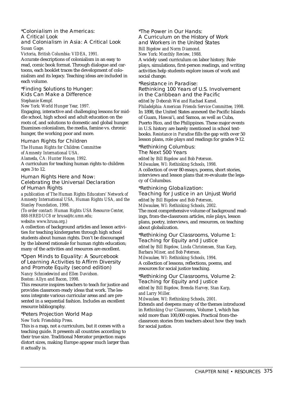## \*Colonialism in the Americas: A Critical Look and Colonialism in Asia: A Critical Look

*Susan Gage.* 

*Victoria, British Columbia: VIDEA, 1991.* 

Accurate descriptions of colonialism in an easy to read, comic book format. Through dialogue and cartoons, each booklet traces the development of colonialism and its legacy. Teaching ideas are included in each volume.

## \*Finding Solutions to Hunger: Kids Can Make a Difference

#### *Stephanie Kempf.*

*New York: World Hunger Year, 1997.*

Engaging, interactive and challenging lessons for middle school, high school and adult education on the roots of, and solutions to domestic and global hunger. Examines colonialism, the media, famine vs. chronic hunger, the working poor and more.

## Human Rights for Children

*The Human Rights for Children Committee of Amnesty International USA. Alameda, CA: Hunter House, 1992.* A curriculum for teaching human rights to children

ages 3 to 12.

## Human Rights Here and Now: Celebrating the Universal Declaration of Human Rights

*a publication of The Human Rights Educators' Network of Amnesty International USA, Human Rights USA, and the Stanley Foundation, 1998.* 

*(To order contact: Human Rights USA Resource Center, 888-HREDUC8 o[r hrusa@tc.umn.edu;](mailto:hrusa@tc.umn.edu)* 

## *[website: www.hrusa.org.\)](http://www.hrusa.org)*

A collection of background articles and lesson activities for teaching kindergarten through high school students about human rights. Don't be discouraged by the labored rationale for human rights education; many of the activities and resources are excellent.

## \*Open Minds to Equality: A Sourcebook of Learning Activities to Affirm Diversity and Promote Equity (second edition)

*Nancy Schniedewind and Ellen Davidson. Boston: Allyn and Bacon, 1998.*

This resource inspires teachers to teach for justice and provides classroom-ready ideas that work. The lessons integrate various curricular areas and are presented in a sequential fashion. Includes an excellent resource bibliography.

## \*Peters Projection World Map

#### *New York: Friendship Press.*

This is a map, not a curriculum, but it comes with a teaching guide. It presents all countries according to their true size. Traditional Mercator projection maps distort sizes, making Europe appear much larger than it actually is.

## \*The Power in Our Hands: A Curriculum on the History of Work and Workers in the United States

*Bill Bigelow and Norm Diamond. New York: Monthly Review, 1988.* A widely used curriculum on labor history. Role plays, simulations, first-person readings, and writing activities help students explore issues of work and social change.

## \*Resistance in Paradise: Rethinking 100 Years of U.S. Involvement in the Caribbean and the Pacific

*edited by Deborah Wei and Rachael Kamel.*

*Philadelphia: American Friends Service Committee, 1998.* In 1898, the United States annexed the Pacific Islands of Guam, Hawai'i, and Samoa, as well as Cuba, Puerto Rico, and the Philippines. These major events in U.S. history are barely mentioned in school textbooks. *Resistance in Paradise* fills the gap with over 50 lesson plans, role plays and readings for grades 9-12.

#### \*Rethinking Columbus: The Next 500 Years

*edited by Bill Bigelow and Bob Peterson. Milwaukee, WI: Rethinking Schools, 1998.* A collection of over 80 essays, poems, short stories, interviews and lesson plans that re-evaluate the legacy of Columbus.

## \*Rethinking Globalization: Teaching for Justice in an Unjust World

*edited by Bill Bigelow and Bob Peterson, Milwaukee, WI: Rethinking Schools, 2002.* The most comprehensive volume of background readings, from-the-classroom articles, role plays, lesson plans, poetry, interviews, and resources, on teaching about globalization.

## \*Rethinking Our Classrooms, Volume 1: Teaching for Equity and Justice

*edited by Bill Bigelow, Linda Christensen, Stan Karp, Barbara Miner, and Bob Peterson. Milwaukee, WI: Rethinking Schools, 1994.* A collection of lessons, reflections, poems, and resources for social justice teaching.

## \*Rethinking Our Classrooms, Volume 2: Teaching for Equity and Justice

*edited by Bill Bigelow, Brenda Harvey, Stan Karp, and Larry Miller.* 

*Milwaukee, WI: Rethinking Schools, 2001.*

Extends and deepens many of the themes introduced in *Rethinking Our Classrooms*, Volume 1, which has sold more than 100,000 copies. Practical from-theclassroom stories from teachers about how they teach for social justice.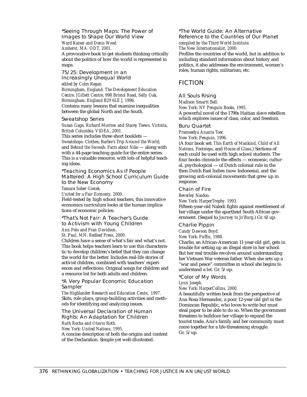## \*Seeing Through Maps: The Power of Images to Shape Our World View

*Ward Kaiser and Denis Wood.* 

*Amherst, MA: ODT, 2001.*

A provocative book to get students thinking critically about the politics of how the world is represented in maps.

## 75/25: Development in an Increasingly Unequal World

*edited by Colm Regan* 

*Birmingham, England: The Development Education Centre. [Gillett Centre, 998 Bristol Road, Selly Oak, Birmingham, England B29 6LE.], 1996.* Contains many lessons that examine inequalities between the global North and the South.

## Sweatshop Series

*Susan Gage, Richard Morrow and Stacey Toews. Victoria, British Columbia: VIDEA, 2001.*

This series includes three short booklets — *Sweatshops: Clothes*; *Barbie's Trip Around the World*; and *Behind the Swoosh: Facts about Nike* — along with with a 44-page teaching guide for the entire series. This is a valuable resource, with lots of helpful teaching ideas.

## \*Teaching Economics As If People Mattered: A High School Curriculum Guide to the New Economy

*Tamara Sober Giecek.* 

*United for a Fair Economy, 2000.*

Field-tested by high school teachers, this innovative economics curriculum looks at the human implications of economic policies.

## \*That's Not Fair: A Teacher's Guide to Activism with Young Children

## *Ann Pelo and Fran Davidson.*

*St. Paul, MN: Redleaf Press, 2000.*

Children have a sense of what's fair and what's not. This book helps teachers learn to use this characteristic to develop children's belief that they can change the world for the better. Includes real-life stories of activist children, combined with teachers' experiences and reflections. Original songs for children and a resource list for both adults and children.

#### \*A Very Popular Economic Education Sampler

*The Highlander Research and Education Cente,. 1997.*  Skits, role plays, group-building activities and methods for identifying and analyzing issues.

## The Universal Declaration of Human Rights: An Adaptation for Children

*Ruth Rocha and Otavio Roth.* 

*New York: United Nations, 1995.* A concise description of both the origins and content of the Declaration. Simple yet well-illustrated.

## \*The World Guide: An Alternative Reference to the Countries of Our Planet

*compiled by the Third World Institute.* 

*The New Internationalist, 2000.*

Profiles the countries of the world, but in addition to including standard information about history and politics, it also addresses the environment, women's roles, human rights, militarism, etc.

# **FICTION**

## All Souls Rising

*Madison Smartt Bell. New York: NY Penguin Books, 1995.* A powerful novel of the 1790s Haitian slave rebellion which explores issues of class, color, and freedom.

## Buru Quartet

*Pramoedya Ananta Toer.* 

*New York: Penguin, 1996.*

(A four book set: *This Earth of Mankind*, *Child of All Nations*, *Footsteps*, and *House of Glass*.) Sections of each could be used with high school students. The four books chronicle the effects — economic, cultural, psychological — of Dutch colonial rule in the then-Dutch East Indies (now Indonesia), and the growing anti-colonial movements that grew up in response.

## Chain of Fire

*Beverley Naidoo.* 

*New York: HarperTrophy. 1993.* Fifteen-year-old Naledi fights against resettlement of her village under the apartheid South African government. (Sequel to *Journey to Jo'Burg*.) Gr. 6/up.

## Charlie Pippin

*Candy Dawson Boyd.* 

*New York: Puffin, 1988.* 

Charlie, an African-American 11-year-old girl, gets in trouble for setting up an illegal store in her school. But her real trouble revolves around understanding her Vietnam War veteran father. When she sets up a "war and peace" committee in school she begins to understand a lot. Gr. 5/up.

## \*Color of My Words

*Lynn Joseph.* 

*New York: HarperCollins, 2000.*

A beautifully written book from the perspective of Ana Rosa Hernandez, a poor 12-year old girl in the Domincan Republic, who loves to write but must steal paper to be able to do so. When the government threatens to bulldoze her village to expand the tourist trade, Ana's family and her community must come together for a life-threatening struggle. Gr.  $5/\text{up}$ .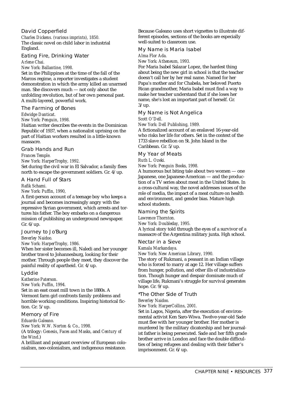## David Copperfield

*Charles Dickens. (various imprints), 1850.* The classic novel on child labor in industrial England.

## Eating Fire, Drinking Water

*Arlene Chai.* 

*New York: Ballantine, 1998.*

Set in the Philippines at the time of the fall of the Marcos regime, a reporter investigates a student demonstration in which the army killed an unarmed man. She discovers much — not only about the unfolding revolution, but of her own personal past. A multi-layered, powerful work.

## The Farming of Bones

*Edwidge Danticat.* 

*New York: Penguin, 1998.* 

Haitian writer describes the events in the Dominican Republic of 1937, when a nationalist uprising on the part of Haitian workers resulted in a little-known massacre.

### Grab Hands and Run

*Frances Temple.* 

*New York: HarperTrophy, 1992.*

Set during the civil war in El Salvador, a family flees north to escape the government soldiers. Gr. 4/up.

## A Hand Full of Stars

*Rafik Schami.* 

*New York: Puffin, 1990,*

A first-person account of a teenage boy who keeps a journal and becomes increasingly angry with the repressive Syrian government, which arrests and tortures his father. The boy embarks on a dangerous mission of publishing an underground newspaper. Gr.  $6/$ up.

## Journey to Jo'Burg

*Beverley Naidoo.* 

*New York: HarperTrophy, 1986.*

When her sister becomes ill, Naledi and her younger brother travel to Johannesburg, looking for their mother. Through people they meet, they discover the painful reality of apartheid. Gr. 4/up.

## Lyddie

*Katherine Paterson.* 

*New York: Puffin, 1994.* Set in an east coast mill town in the 1880s. A Vermont farm girl confronts family problems and horrible working conditions. Inspiring historical fic-

## tion. Gr. 5/up. Memory of Fire

# *Eduardo Galeano.*

*New York: W.W. Norton & Co., 1998.*

(A trilogy: *Genesis*, *Faces and Masks*, and *Century of the Wind*.)

A brilliant and poignant overview of European colonialism, neo-colonialism, and indigenous resistance. Because Galeano uses short vignettes to illustrate different episodes, sections of the books are especially well-suited to classroom use.

## My Name is Maria Isabel

#### *Alma Flor Ada.*

*New York: Atheneum, 1993.* 

For Maria Isabel Salazar Lopez, the hardest thing about being the new girl in school is that the teacher doesn't call her by her real name. Named for her Papa's mother and for Chabela, her beloved Puerto Rican grandmother, Maria Isabel must find a way to make her teacher understand that if she loses her name, she's lost an important part of herself. Gr.  $3/\text{up}$ .

# My Name is Not Angelica

*Scott O'Dell.* 

*New York: Dell Publishing, 1989.* A fictionalized account of an enslaved 16-year-old who risks her life for others. Set in the context of the 1733 slave rebellion on St. John Island in the Caribbean. Gr. 5/up.

## My Year of Meats

*Ruth L. Ozeki.* 

*New York: Penguin Books, 1998.*

A humorous but biting tale about two women — one Japanese, one Japanese-American — and the production of a TV series about meat in the United States. In a cross-cultural way, the novel addresses issues of the role of media, the impact of a meat culture on health and environment, and gender bias. Mature high school students.

## Naming the Spirits

*Lawrence Thornton. New York: Doubleday, 1995.*

A lyrical story told through the eyes of a survivor of a massacre of the Argentina military junta. Hgh school.

## Nectar in a Sieve

## *Kamala Markandaya.*

*New York: New American Library, 1990.* 

The story of Rukmani, a peasant in an Indian village who is forced to marry at age 12. Her village suffers from hunger, pollution, and other ills of industrialization. Though hunger and despair dominate much of village life, Rukmani's struggle for survival generates hope. Gr. 9/up.

## \*The Other Side of Truth

*Beverley Naidoo.* 

*New York: HarperCollins, 2001.*

Set in Lagos, Nigeria, after the execution of environmental activist Ken Saro-Wiwa. Twelve-year-old Sade must flee with her younger brother. Her mother is murdered by the military dicatorship and her journalist father is being persecuted. Sade and her fifth grade brother arrive in London and face the double difficulties of being refugees and dealing with their father's imprisonment. Gr. 6/up.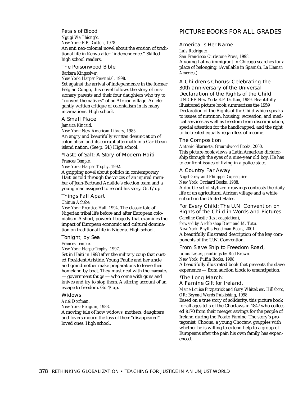## Petals of Blood

*Ngugi Wa Thiong'o. New York: E.P. Dutton, 1978.* An anti neo-colonial novel about the erosion of traditional life in Kenya after "independence." Skilled high school readers.

#### The Poisonwood Bible

#### *Barbara Kingsolver.*

*New York: Harper Perennial, 1998.* Set against the arrival of independence in the former Belgian Congo, this novel follows the story of missionary parents and their four daughters who try to "convert the natives" of an African village. An elegantly written critique of colonialism in its many incarnations. High school.

#### A Small Place

*Jamaica Kincaid.* 

*New York: New American Library, 1985.* An angry and beautifully written denunciation of colonialism and its corrupt aftermath in a Caribbean island nation. (See p. 54.) High school.

### \*Taste of Salt: A Story of Modern Haiti

*Frances Temple.* 

*New York: Harper Trophy, 1992*.

A gripping novel about politics in contemporary Haiti as told through the voices of an injured member of Jean-Bertrand Aristide's election team and a young man assigned to record his story. Gr. 6/up.

#### Things Fall Apart

*Chinua Achebe.* 

*New York: Prentice-Hall, 1994*. The classic tale of Nigerian tribal life before and after European colonialism. A short, powerful tragedy that examines the impact of European economic and cultural domination on traditional life in Nigeria. High school.

#### Tonight, by Sea

*Frances Temple.* 

*New York: HarperTrophy, 1997.*

Set in Haiti in 1993 after the military coup that ousted President Aristide. Young Paulie and her uncle and grandmother make preparations to leave their homeland by boat. They must deal with the *macoutes* — government thugs — who come with guns and knives and try to stop them. A stirring account of an escape to freedom. Gr. 4/up.

#### Widows

#### *Ariel Dorfman.*

*New York: Penguin, 1983.*

A moving tale of how widows, mothers, daughters and lovers mourn the loss of their "disappeared" loved ones. High school.

## PICTURE BOOKS FOR ALL GRADES

#### America is Her Name

*Luis Rodriguez.* 

*San Francisco: Curbstone Press, 1998.*

A young Latina immigrant in Chicago searches for a place of belonging. (Available in Spanish, *La Llaman America*.)

#### A Children's Chorus: Celebrating the 30th anniversary of the Universal Declaration of the Rights of the Child

*UNICEF. New York: E.P. Dutton, 1989.* Beautifully illustrated picture book summarizes the 1959 Declaration of the Rights of the Child which speaks to issues of nutrition, housing, recreation, and medical services as well as freedom from discrimination, special attention for the handicapped, and the right to be treated equally regardless of income.

#### The Composition

*Antonio Skarmeta. Groundwood Books, 2000.* This picture book views a Latin American dictatorship through the eyes of a nine-year old boy. He has to confront issues of living in a police state.

#### A Country Far Away

*Nigel Gray and Philippe Dupasquier. New York: Orchard Books, 1988.* A double set of stylized drawings contrasts the daily life of an agricultural African village and a white suburb in the United States.

## For Every Child: The U.N. Convention on Rights of the Child in Words and Pictures

*Caroline Castle (text adaptation), forward by Archbishop Desmond M. Tutu. New York: Phyllis Fogelman Books, 2001.* A beautifully illustrated description of the key components of the U.N. Convention.

#### From Slave Ship to Freedom Road,

*Julius Lester, paintings by Rod Brown. New York: Puffin Books, 1998.* A beautifully illustrated book that presents the slave experience — from auction block to emancipation.

#### \*The Long March: A Famine Gift for Ireland,

#### *Marie-Louise Fitzpatrick and Gary WhiteDeer. Hillsboro, OR: Beyond Words Publishing, 1998.*

Based on a true story of solidarity, this picture book for all ages tells of the Choctaws in 1847 who collected \$170 from their meager savings for the people of Ireland during the Potato Famine. The story's protagonist, Choona, a young Choctaw, grapples with whether he is willing to extend help to a group of Europeans after the pain his own family has experienced.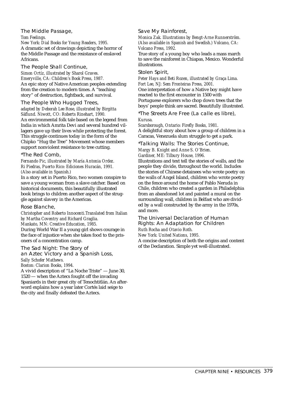## The Middle Passage,

#### *Tom Feelings.*

*New York: Dial Books for Young Readers, 1995.* A dramatic set of drawings depicting the horror of the Middle Passage and the resistance of enslaved Africans.

## The People Shall Continue,

*Simon Ortíz, illustrated by Sharol Graves. Emeryville, CA: Children's Book Press, 1987.*  An epic story of Native American peoples extending from the creation to modern times. A "teaching story" of destruction, fightback, and survival.

## The People Who Hugged Trees,

*adapted by Deborah Lee Rose, illustrated by Birgitta Säflund. Niwott, CO: Roberts Rinehart, 1990.* An environmental folk tale based on the legend from India in which Amrita Devi and several hundred villagers gave up their lives while protecting the forest. This struggle continues today in the form of the Chipko "Hug the Tree" Movement whose members support nonviolent resistance to tree cutting.

## \*The Red Comb,

*Fernando Pic, illustrated by María Antonia Ordez. Ri Piedras, Puerto Rico: Ediciones Huracán, 1991. (Also available in Spanish.)*

In a story set in Puerto Rico, two women conspire to save a young woman from a slave catcher. Based on historical documents, this beautifully illustrated book brings to children another aspect of the struggle against slavery in the Americas.

## Rose Blanche,

*Christopher and Roberto Innocenti.Translated from Italian by Martha Coventry and Richard Graglia. Mankato, MN: Creative Education, 1985.*  During World War II a young girl shows courage in the face of injustice when she takes food to the prisoners of a concentration camp.

## The Sad Night: The Story of an Aztec Victory and a Spanish Loss,

*Sally Schofer Mathews. Boston: Clarion Books, 1994.*

A vivid description of "La Noche Triste" — June 30, 1520 — when the Aztecs fought off the invading Spaniards in their great city of Tenochtitlán. An afterword explains how a year later Cortés laid seige to the city and finally defeated the Aztecs.

## Save My Rainforest,

*Monica Zak. Illustrations by Bengt-Arne Runnerström. (Also available in Spanish and Swedish.) Volcano, CA: Volcano Press, 1992.* 

True story of a young boy who leads a mass march to save the rainforest in Chiapas, Mexico. Wonderful illustrations.

## Stolen Spirit,

*Peter Hays and Beti Rozen, illustrated by Graça Lima. Fort Lee, NJ: Sem Fronteiras Press, 2001.* One interpretation of how a Native boy might have reacted to the first encounter in 1500 with Portuguese explorers who chop down trees that the boys' people think are sacred. Beautifully illustrated.

#### \*The Streets Are Free (*La calle es libre*), *Kurusa.*

*Scarsborough, Ontario: Firefly Books, 1981*. A delightful story about how a group of children in a Caracas, Venezuela slum struggle to get a park.

## \*Talking Walls: The Stories Continue,

*Margy B. Knight and Anne S. O'Brien.* 

*Gardiner, ME: Tilbury House, 1996.* 

Illustrations and text tell the stories of walls, and the people they divide, throughout the world. Includes the stories of Chinese detainees who wrote poetry on the walls of Angel Island, children who wrote poetry on the fence around the home of Pablo Neruda in Chile, children who created a garden in Philadelphia from an abandoned lot and painted a mural on the surrounding wall, children in Belfast who are divided by a wall constructed by the army in the 1970s, and more.

#### The Universal Declaration of Human Rights: An Adaptation for Children *Ruth Rocha and Otavio Roth.*

*New York: United Nations, 1995.* A concise description of both the origins and content of the Declaration. Simple yet well-illustrated.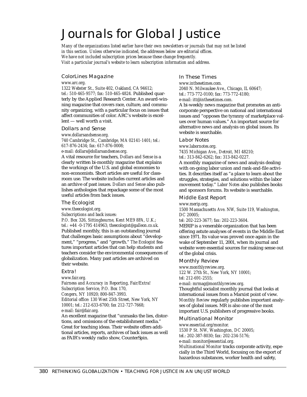# Journals for Global Justice

*Many of the organizations listed earlier have their own newsletters or journals that may not be listed in this section. Unless otherwise indicated, the addresses below are editorial offices. We have not included subscription prices because these change frequently. Visit a particular journal's website to learn subscription information and address.*

### ColorLines Magazine

*[www.arc.org.](http://www.arc.org)* 

*1322 Webster St., Suite 402, Oakland, CA 94612; tel.: 510-465-9577; fax: 510-465-4824.* Published quarterly by the Applied Research Center. An award-winning magazine that covers race, culture, and community organizing, with a particular focus on issues that affect communities of color. ARC's website is excellent — well worth a visit.

#### Dollars and Sense

*[www.dollarsandsense.org.](http://www.dollarsandsense.org)  740 Cambridge St., Cambridge, MA 02141-1401; tel.: 617-876-2434; fax: 617-876-0008;* 

*[e-mail: dollars@dollarsandsense.org.](mailto:dollars@dollarsandsense.org)*

A vital resource for teachers, *Dollars and Sense* is a clearly written bi-monthly magazine that explains the workings of the U.S. and global economies to non-economists. Short articles are useful for classroom use. The website includes current articles and an archive of past issues. *Dollars and Sense* also publishes anthologies that repackage some of the most useful articles from back issues.

## The Ecologist

*[www.theecologist.org.](http://www.theecologist.org)* 

*Subscriptions and back issues:* 

*P.O. Box 326, Sittingbourne, Kent ME9 8FA, U.K.; tel.: +44 -0-1795 414963[; theecologist@galleon.co.uk.](mailto:theecologist@galleon.co.uk)* Published monthly, this is an outstanding journal that challenges basic assumptions about "development," "progress," and "growth." *The Ecologist* features important articles that can help students and teachers consider the environmental consequences of globalization. Many past articles are archived on their website.

## Extra!

*[www.fair.org.](http://www.fair.org)* 

*Fairness and Accuracy in Reporting, Fair/Extra! Subscription Service, P.O. Box 170, Congers, NY 10920; 800-847-3993. Editorial office: 130 West 25th Street, New York, NY 10001; tel.: 212-633-6700; fax 212-727-7668; [e-mail: fair@fair.org.](mailto:fair@fair.org)*

An excellent magazine that "unmasks the lies, distortions, and omissions of the establishment media." Great for teaching ideas. Their website offers additional articles, reports, archives of back issues as well as FAIR's weekly radio show, CounterSpin.

## In These Times

*[www.inthesetimes.com.](http://www.inthesetimes.com)  2040 N. Milwaukee Ave., Chicago, IL 60647; tel.: 773-772-0100; fax: 773-772-4180; [e-mail: itt@inthesetimes.com.](mailto:itt@inthesetimes.com)*

A bi-weekly news magazine that promotes an anticorporate perspective on national and international issues and "opposes the tyranny of marketplace values over human values." An important source for alternative news and analysis on global issues. Its website is searchable.

## Labor Notes

*[www.labornotes.org.](http://www.labornotes.org)  7435 Michigan Ave., Detroit, MI 48210; tel.: 313-842-6262; fax: 313-842-0227.*

A monthly magazine of news and analysis dealing with on-going labor union and rank-and-file activities. It describes itself as "a place to learn about the struggles, strategies, and solutions within the labor movement today." *Labor Notes* also publishes books and sponsors forums. Its website is searchable.

#### Middle East Report

*[www.merip.org.](http://www.merip.org)* 

*1500 Massachusetts Ave. NW, Suite 119, Washington, DC 20005;* 

*tel: 202-223-3677; fax: 202-223-3604.*

MERIP is a venerable organization that has been offering astute analyses of events in the Middle East since 1971. Its value was proved once again in the wake of September 11, 2001, when its journal and website were essential sources for making sense out of the global crisis.

## Monthly Review

*[www.monthlyreview.org.](http://www.monthlyreview.org)  122 W. 27th St., New York, NY 10001; tel: 212-691-2555; [e-mail: mrmag@monthlyreview.org.](mailto:mrmag@monthlyreview.org)*

Thoughtful socialist monthly journal that looks at international issues from a Marxist point of view. *Monthly Review* regularly publishes important analyses of global issues. MR is also one of the most important U.S. publishers of progressive books.

## Multinational Monitor

*[www.essential.org/monitor.](http://www.essential.org/monitor)  1530 P St. NW, Washington, DC 20005; tel.: 202-387-8030; fax: 202-234-5176;* 

*[e-mail: monitor@essential.org.](mailto:monitor@essential.org)* 

*Multinational Monitor* tracks corporate activity, especially in the Third World, focusing on the export of hazardous substances, worker health and safety,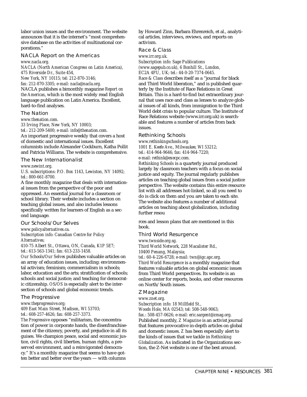labor union issues and the environment. The website announces that it is the internet's "most comprehensive database on the activities of multinational corporations."

#### NACLA Report on the Americas

*[www.nacla.org.](http://www.nacla.org)* 

*NACLA (North American Congress on Latin America), 475 Riverside Dr., Suite 454,* 

*New York, NY 10115; tel: 212-870-3146;* 

*fax: 212-870-3305[; e-mail: nacla@nacla.org.](mailto:nacla@nacla.org)* NACLA publishes a bimonthly magazine *Report on the Americas*, which is the most widely read English language publication on Latin America. Excellent, hard-to-find analyses.

## The Nation

*[www.thenation.com.](http://www.thenation.com)* 

*33 Irving Place, New York, NY 10003;* 

*tel.: 212-209-5400; [e-mail: info@thenation.com.](mailto:info@thenation.com)* An important progressive weekly that covers a host of domestic and international issues. Excellent columnists include Alexander Cockburn, Katha Pollit and Patricia Williams. The website is comprehensive.

### The New Internationalist

*[www.newint.org.](http://www.newint.org)* 

*U.S. subscriptions: P.O. Box 1143, Lewiston, NY 14092; tel.: 800-661-8700.*

A fine monthly magazine that deals with international issues from the perspective of the poor and oppressed. An essential journal for a classroom or school library. Their website includes a section on teaching global issues, and also includes lessons specifically written for learners of English as a second language.

## Our Schools/Our Selves

*[www.policyalternatives.ca.](http://www.policyalternatives.ca)  Subscription info: Canadian Centre for Policy Alternatives;* 

*410-75 Albert St., Ottawa, ON, Canada, K1P 5E7; tel.: 613-563-1341; fax: 613-233-1458.*

*Our Schools/Our Selves* publishes valuable articles on an array of education issues, including: environmental activism; feminism; commercialism in schools; labor, education and the arts; stratification of schools; schools and social justice; and teaching for democratic citizenship. *OS/OS* is especially alert to the intersection of schools and global economic trends.

## The Progressive

*[www.theprogressive.org;](http://www.theprogressive.org)* 

*409 East Main Street, Madison, WI 53703; tel.: 608-257-4626; fax: 608-257-3373.*

*The Progressive* opposes "militarism, the concentration of power in corporate hands, the disenfranchisement of the citizenry, poverty, and prejudice in all its guises. We champion peace, social and economic justice, civil rights, civil liberties, human rights, a preserved environment, and a reinvigorated democracy." It's a monthly magazine that seems to have gotten better and better over the years — with columns

by Howard Zinn, Barbara Ehrenreich, et al., analytical articles, interviews, reviews, and reports on activism.

## Race & Class

*[www.irr.org.uk.](http://www.irr.org.uk)* 

*Subscription info: Sage Publications [\(www.sagepub.co.uk\),](http://www.sagepub.co.uk) 6 Bonhill St., London, EC2A 4PU, UK; tel.: 44-0-20-7374-0645. Race & Class* describes itself as a "journal for black and Third World liberation," and is published quarterly by the Institute of Race Relations in Great Britain. This is a hard-to-find but extraordinary journal that uses race and class as lenses to analyze global issues of all kinds, from immigration to the Third World debt crisis to popular culture. The Institute of Race Relations website [\(www.irr.org.uk\)](http://www.irr.org.uk) is searchable and features a number of articles from back issues.

## Rethinking Schools

*[www.rethinkingschools.org.](http://www.rethinkingschools.org)  1001 E. Keefe Ave., Milwaukee, WI 53212; tel.: 414-964-9646; fax: 414-964-7220; [e-mail: rethink@execpc.com.](mailto:rethink@execpc.com)* 

*Rethinking Schools* is a quarterly journal produced largely by classroom teachers with a focus on social justice and equity. The journal regularly publishes articles on teaching global issues from a social justice perspective. The website contains this entire resource list with all addresses hot-linked, so all you need to do is click on them and you are taken to each site. The website also features a number of additional articles on teaching about globalization, including further resou

rces and lesson plans that are mentioned in this book.

## Third World Resurgence

*[www.twnside.org.sg.](http://www.twnside.org.sg)  Third World Network, 228 Macalister Rd.,* 

*10400 Penang, Malaysia;* 

*tel.: 60-4-226-6728[; e-mail: twn@igc.apc.org.](mailto:twn@igc.apc.org)  Third World Resurgence* is a monthly magazine that features valuable articles on global economic issues from Third World perspectives. Its website is an online center for reports, books, and other resources on North/South issues.

## Z Magazine

## *[www.znet.org.](http://www.znet.org)*

*Subscription info: 18 Millfield St., Woods Hole, MA 02543; tel: 508-548-9063; fax.: 508-457-062[6; e-mail: eric.sargent@zmag.org.](mailto:eric.sargent@zmag.org)* Published monthly, *Z Magazine* is an activist journal that features provocative in-depth articles on global and domestic issues. *Z* has been especially alert to the kinds of issues that we tackle in *Rethinking Globalization*. As indicated in the Organizations section, the Z-Net website is one of the best around.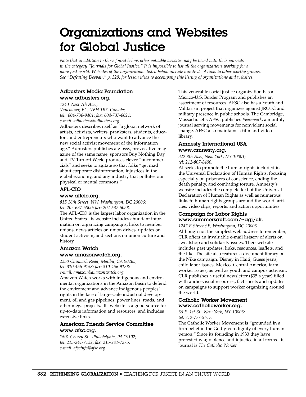# Organizations and Websites for Global Justice

*Note that in addition to those found below, other valuable websites may be listed with their journals in the category "Journals for Global Justice." It is impossible to list all the organizations working for a more just world. Websites of the organizations listed below include hundreds of links to other worthy groups. See "Defeating Despair," p. 329, for lesson ideas to accompany this listing of organizations and websites.*

## Adbusters Media Foundation [www.adbusters.org.](http://www.adbusters.org)

*1243 West 7th Ave.,* 

*Vancouver, BC, V6H 1B7, Canada; tel.: 604-736-9401; fax: 604-737-6021; [e-mail: adbusters@adbusters.org.](mailto:adbusters@adbusters.org)*

Adbusters describes itself as "a global network of artists, activists, writers, pranksters, students, educators and entrepreneurs who want to advance the new social activist movement of the information age." Adbusters publishes a glossy, provocative magazine of the same name, sponsors Buy Nothing Day and TV Turnoff Week, produces clever "uncommercials" and seeks to agitate so that folks "get mad about corporate disinformation, injustices in the global economy, and any industry that pollutes our physical or mental commons."

## AFL-CIO

## [www.aflcio.org.](http://www.aflcio.org)

*815 16th Street, NW, Washington, DC 20006; tel: 202-637-5000; fax: 202-637-5058.*

The AFL-CIO is the largest labor organization in the United States. Its website includes abundant information on organizing campaigns, links to member unions, news articles on union drives, updates on student activism, and sections on union culture and history.

## Amazon Watch [www.amazonwatch.org.](http://www.amazonwatch.org)

*2350 Chumash Road, Malibu, CA 90265; tel: 310-456-9158; fax: 310-456-9138; [e-mail: amazon@amazonwatch.org.](mailto:amazon@amazonwatch.org)*

Amazon Watch works with indigenous and enviromental organizations in the Amazon Basin to defend the enviroment and advance indigenous peoples' rights in the face of large-scale industrial development, oil and gas pipelines, power lines, roads, and other mega-projects. Its website is a good source for up-to-date information and resources, and includes extensive links.

## American Friends Service Committee [www.afsc.org.](http://www.afsc.org)

*1501 Cherry St., Philadelphia, PA 19102; tel: 215-241-7132; fax: 215-241-7275; [e-mail: afscinfo@afsc.org.](mailto:afscinfo@afsc.org)*

This venerable social justice organization has a Mexico-U.S. Border Program and publishes an assortment of resources. AFSC also has a Youth and Militarism project that organizes against JROTC and military presence in public schools. The Cambridge, Massachusetts AFSC publishes *Peacework*, a monthly journal serving movements for nonviolent social change. AFSC also maintains a film and video library.

## Amnesty International USA [www.amnesty.org.](http://www.amnesty.org)

*322 8th Ave., New York, NY 10001; tel: 212-807-8400.*

AI seeks to promote the human rights included in the Universal Declaration of Human Rights, focusing especially on prisoners of conscience, ending the death penalty, and combating torture. Amnesty's website includes the complete text of the Universal Declaration of Human Rights as well as numerous links to human rights groups around the world, articles, video clips, reports, and action opportunities.

## Campaign for Labor Rights [www.summersault.com/~agj/clr.](http://www.summersault.com/~agj/clr)

*1247 E Street SE, Washington, DC 20003.*  Although not the simplest web address to remember, CLR offers an invaluable e-mail listserv of alerts on sweatshop and solidarity issues. Their website includes past updates, links, resources, leaflets, and the like. The site also features a document library on the Nike campaign, Disney in Haiti, Guess jeans, child labor issues, Mexico, Central America, farm worker issues, as well as youth and campus activism. CLR publishes a useful newsletter (\$35 a year) filled with audio-visual resources, fact sheets and updates on campaigns to support worker organizing around the world.

## Catholic Worker Movement [www.catholicworker.org.](http://www.catholicworker.org)

*36 E. 1st St., New York, NY 10003; tel: 212-777-9617.*

The Catholic Worker Movement is "grounded in a firm belief in the God-given dignity of every human person." Since its founding in 1933 they have protested war, violence and injustice in all forms. Its journal is *The Catholic Worker.*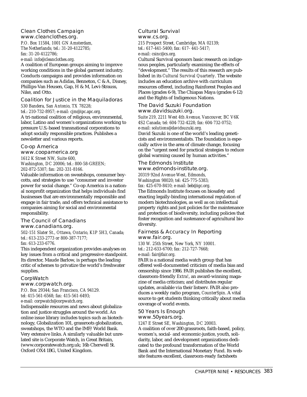## Clean Clothes Campaign [www.cleanclothes.org.](http://www.cleanclothes.org)

*P.O. Box 11584, 1001 GN Amsterdam, The Netherlands; tel.: 31-20-4122785; fax: 31-20-4122786;*

*[e-mail: info@cleanclothes.org.](mailto:info@cleanclothes.org)*

A coalition of European groups aiming to improve working conditions in the global garment industry. Conducts campaigns and provides information on companies such as Adidas, Benneton, C & A, Disney, Phillips-Van Heusen, Gap, H & M, Levi-Strauss, Nike, and Otto.

## Coalition for Justice in the Maquiladoras

*530 Bandera, San Antonio, TX 78228; tel.: 210-732-8957[; e-mail: cjm@ipc.apc.org.](mailto:cjm@ipc.apc.org)* A tri-national coalition of religious, environmental, labor, Latino and women's organizations working to pressure U.S.-based transnational corporations to adopt socially responsible practices. Publishes a newsletter and various reports.

## Co-op America

## [www.coopamerica.org](http://www.coopamerica.org)

*1612 K Street NW, Suite 600, Washington, DC 20006; tel.: 800-58-GREEN; 202-872-5307; fax: 202-331-8166.*

Valuable information on sweatshops, consumer boycotts, and strategies to use "consumer and investor power for social change." Co-op America is a national nonprofit organization that helps individuals find businesses that are environmentally responsible and engage in fair trade, and offers technical assistance to companies aiming for social and environmental responsibility.

### The Council of Canadians [www.canadians.org.](http://www.canadians.org)

*502-151 Slater St., Ottawa, Ontario, K1P 5H3, Canada; tel.: 613-233-2773 or 800-387-7177; fax: 613-233-6776.* 

This independent organization provides analyses on key issues from a critical and progressive standpoint. Its director, Maude Barlow, is perhaps the leading critic of schemes to privatize the world's freshwater supplies.

## **CorpWatch**

## [www.corpwatch.org.](http://www.corpwatch.org)

*P.O. Box 29344; San Francisco, CA 94129. tel: 415-561-6568; fax: 415-561-6493; [e-mail: corpwatch@corpwatch.org.](mailto:corpwatch@corpwatch.org)* 

Indispensable resources and news about globalization and justice struggles around the world. An online issue library includes topics such as biotechnology, Globalization 101, grassroots globalization, sweatshops, the WTO and the IMF/World Bank. Very extensive links. A similarly valuable but unrelated site is Corporate Watch, in Great Britain, [\(www.corporatewatch.org.uk; 1](http://www.corporatewatch.org.uk)6b Cherwell St. Oxford OX4 1BG, United Kingdom.

## Cultural Survival [www.cs.org.](http://www.cs.org)

*215 Prospect Street, Cambridge, MA 02139; tel.: 617-441-5400; fax: 617- 441-5417; [e-mail: csinc@cs.org.](mailto:csinc@cs.org)* 

Cultural Survival sponsors basic research on indigenous peoples, particularly examining the effects of "development." The results of this research are published in its *Cultural Survival Quarterly*. The website includes an education archive with curriculum resources offered, including Rainforest Peoples and Places (grades 6-9), The Chiapas Maya (grades 6-12) and the Rights of Indigenous Nations.

## The David Suzuki Foundation [www.davidsuzuki.org.](http://www.davidsuzuki.org)

*Suite 219, 2211 West 4th Avenue, Vancouver, BC V6K 4S2 Canada; tel: 604-732-4228; fax: 604-732-0752; [e-mail: solutions@davidsuzuki.org.](mailto:solutions@davidsuzuki.org)*

David Suzuki is one of the world's leading geneticists and environmentalists. The foundation is especially active in the area of climate change, focusing on the "urgent need for practical strategies to reduce global warming caused by human activities."

#### The Edmonds Institute [www.edmonds-institute.org.](http://www.edmonds-institute.org)

*20319 92nd Avenue West, Edmonds,* 

*Washington 98020; tel: 425-775-5383; fax: 425-670-8410[; e-mail: beb@igc.org.](mailto:beb@igc.org)* 

The Edmonds Institute focuses on biosafety and enacting legally-binding international regulation of modern biotechnologies, as well as on intellectual property rights and just policies for the maintenance and protection of biodiversity, including policies that foster recognition and sustenance of agricultural biodiversity.

## Fairness & Accuracy In Reporting [www.fair.org.](http://www.fair.org)

*130 W. 25th Street, New York, NY 10001. tel.: 212-633-6700; fax: 212-727-7668; [e-mail: fair@fair.org.](mailto:fair@fair.org)* 

FAIR is a national media watch group that has offered well-documented criticism of media bias and censorship since 1986. FAIR publishes the excellent, classroom-friendly *Extra!*, an award-winning magazine of media criticism; and distributes regular updates, available via their listserv. FAIR also produces a weekly radio program, *CounterSpin*. A vital source to get students thinking critically about media coverage of world events.

## 50 Years Is Enough [www.50years.org.](http://www.50years.org)

*1247 E Street SE, Washington, DC 20003.* 

A coalition of over 200 grassroots, faith-based, policy, women's, social- and economic-justice, youth, solidarity, labor, and development organizations dedicated to the profound transformation of the World Bank and the International Monetary Fund. Its website features excellent, classroom-ready factsheets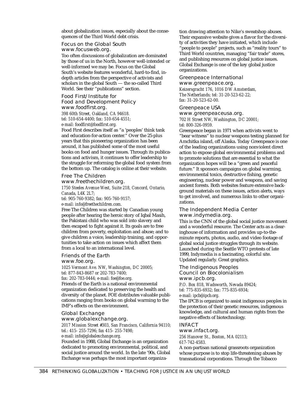about globalization issues, especially about the consequences of the Third World debt crisis.

## Focus on the Global South [www.focusweb.org.](http://www.focusweb.org)

Too often discussions of globalization are dominated by those of us in the North, however well-intended or well-informed we may be. Focus on the Global South's website features wonderful, hard-to-find, indepth articles from the perspective of activists and scholars in the global South — the so-called Third World. See their "publications" section.

### Food First/Institute for Food and Development Policy [www.foodfirst.org.](http://www.foodfirst.org)

*398 60th Street, Oakland, CA 94618. tel: 510-654-4400; fax: 510-654-4551; [e-mail: foodfirst@foodfirst.org.](mailto:foodfirst@foodfirst.org)* 

Food First describes itself as "a 'peoples' think tank and education-for-action center." Over the 25-plus years that this pioneering organization has been around, it has published some of the most useful books on food and hunger issues. Through its publications and activism, it continues to offer leadership to the struggle for reforming the global food system from the bottom up. The catalog is online at their website.

## Free The Children [www.freethechildren.org.](http://www.freethechildren.org)

*1750 Steeles Avenue West, Suite 218, Concord, Ontario, Canada, L4K 2L7;* 

*tel: 905-760-9382; fax: 905-760-9157; [e-mail: info@freethechildren.com.](mailto:info@freethechildren.com)* 

Free The Children was started by Canadian young people after hearing the heroic story of Iqbal Masih, the Pakistani child who was sold into slavery and then escaped to fight against it. Its goals are to free children from poverty, exploitation and abuse; and to give children a voice, leadership training, and opportunities to take action on issues which affect them from a local to an international level.

### Friends of the Earth [www.foe.org.](http://www.foe.org)

*1025 Vermont Ave. NW, Washington, DC 20005; tel: 877-843-8687 or 202-783-7400;* 

*fax: 202-783-0444; [e-mail: foe@foe.org.](mailto:foe@foe.org)*

Friends of the Earth is a national environmental organization dedicated to preserving the health and diversity of the planet. FOE distributes valuable publications ranging from books on global warming to the IMF's effects on the environment.

# Global Exchange [www.globalexchange.org.](http://www.globalexchange.org)

*2017 Mission Street #303, San Francisco, California 94110; tel.: 415- 255-7296; fax 415- 255-7498;* 

*[e-mail: info@globalexchange.org.](mailto:info@globalexchange.org)*

Founded in 1988, Global Exchange is an organization dedicated to promoting environmental, political, and social justice around the world. In the late '90s, Global Exchange was perhaps the most important organization drawing attention to Nike's sweatshop abuses. Their expansive website gives a flavor for the diversity of activities they have initiated, which include "people to people" projects, such as "reality tours" to Third World countries, managing "fair trade" stores, and publishing resources on global justice issues. Global Exchange is one of the key global justice organizations.

### Greenpeace International [www.greenpeace.org.](http://www.greenpeace.org)

*Keizersgracht 176, 1016 DW Amsterdam, The Netherlands; tel: 31-20-523-62-22; fax: 31-20-523-62-00.*

## Greenpeace USA

[www.greenpeaceusa.org.](http://www.greenpeaceusa.org) 

*702 H Street NW, Washington, DC 20001; tel: 800-326-0959.*

Greenpeace began in 1971 when activists went to "bear witness" to nuclear weapons testing planned for Amchitka island, off Alaska. Today Greenpeace is one of the leading organizations using nonviolent direct action to expose global environmental problems and to promote solutions that are essential to what the organization hopes will be a "green and peaceful future." It sponsors campaigns on global warming, environmental toxics, destructive fishing, genetic engineering, nuclear power and weapons, and saving ancient forests. Both websites feature extensive background materials on these issues, action alerts, ways to get involved, and numerous links to other organizations.

## The Independent Media Center [www.indymedia.org.](http://www.indymedia.org)

This is the CNN of the global social justice movement and a wonderful resource. The Center acts as a clearinghouse of information and provides up-to-theminute reports, photos, audio, and video footage of global social justice struggles through its website. Launched during the Seattle WTO protests of late 1999, Indymedia is a fascinating, colorful site. Updated regularly. Great graphics.

## The Indigenous Peoples Council on Biocolonialism [www.ipcb.org.](http://www.ipcb.org)

*P.O. Box 818, Wadsworth, Nevada 89424; tel: 775-835-6932; fax: 775-835-6934; [e-mail: ipcb@ipcb.org.](mailto:ipcb@ipcb.org)*

The IPCB is organized to assist indigenous peoples in the protection of their genetic resources, indigenous knowledge, and cultural and human rights from the negative effects of biotechnology.

## INFACT

#### [www.infact.org.](http://www.infact.org)

*256 Hanover St., Boston, MA 02113; 617-742-4583.* 

A non-partisan national grassroots organization whose purpose is to stop life-threatening abuses by transnational corporations. Through the Tobacco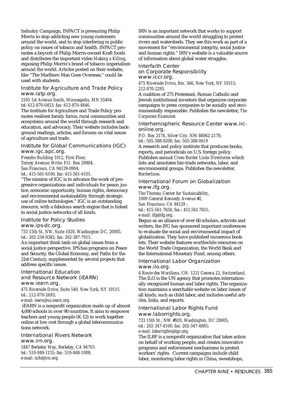Industry Campaign, INFACT is pressuring Philip Morris to stop addicting new young customers around the world, and to stop interfering in public policy on issues of tobacco and health. INFACT promotes a boycott of Philip Morris-owned Kraft foods and distributes the important video *Making a Killing*, exposing Philip Morris's brand of tobacco imperialism around the world. Articles posted on their website, like "The Marlboro Man Goes Overseas," could be used with students.

## Institute for Agriculture and Trade Policy [www.iatp.org.](http://www.iatp.org)

#### *2105 1st Avenue South, Minneapolis, MN 55404. tel: 612-870-0453; fax: 612-870-4846.*

The Institute for Agriculture and Trade Policy promotes resilient family farms, rural communities and ecosystems around the world through research and education, and advocacy. Their website includes background readings, articles, and forums on vital issues of agriculture and trade.

## Institute for Global Communications (IGC) [www.igc.apc.org.](http://www.igc.apc.org)

*Presidio Building 1012, First Floor, Torney Avenue; Write: P.O. Box 29904, San Francisco, CA 94129-0904; tel.: 415-561-6100; fax: 415-561-6101.*

"The mission of IGC is to advance the work of progressive organizations and individuals for peace, justice, economic opportunity, human rights, democracy and environmental sustainability through strategic use of online technologies." IGC is an outstanding resource, with a fabulous search engine that is linked to social justice networks of all kinds.

### Institute for Policy Studies [www.ips-dc.org.](http://www.ips-dc.org)

#### *733 15th St. NW, Suite 1020, Washington DC, 20005. tel.: 202-234-9382; fax: 202-387-7915.*

An important think tank on global issues from a social justice perspective. IPS has programs on Peace and Security, the Global Economy, and Paths for the 21st Century, supplemented by several projects that address specific issues.

#### International Education and Resource Network (iEARN) [www.iearn.org.](http://www.iearn.org)

*475 Riverside Drive, Suite 540, New York, NY 10115. tel.: 212-870-2693;* 

*[e-mail: iearn@us.iearn.org.](mailto:iearn@us.iearn.org)*

iEARN is a nonprofit organization made up of almost 4,000 schools in over 90 countries. It aims to empower teachers and young people (K-12) to work together online at low cost through a global telecommunications network.

## International Rivers Network [www.irn.org.](http://www.irn.org)

*1847 Berkeley Way, Berkeley, CA 94703. tel.: 510-848-1155; fax: 510-848-1008; [e-mail: info@irn.org.](mailto:info@irn.org)*

IRN is an important network that works to support communities around the world struggling to protect rivers and watersheds. They see this work as part of a movement for "environmental integrity, social justice and human rights." IRN's website is a valuable source of information about global water struggles.

## Interfaith Center on Corporate Responsibility [www.iccr.org.](http://www.iccr.org)

*475 Riverside Drive, Rm. 566, New York, NY 10115; 212-870-2295.*

A coalition of 275 Protestant, Roman Catholic and Jewish institutional investors that organizes corporate campaigns to press companies to be socially and environmentally responsible. Publishes the newsletter, *The Corporate Examiner.*

## Interhemispheric Resource Center [www.irc](http://www.irc-online.org)[online.org.](http://www.irc-online.org)

*P.O. Box 2178, Silver City, NM 88062-2178; tel.: 505-388-0208; fax: 505-388-0619* A research and policy institute that produces books, reports, and periodicals on U.S. foreign policy. Publishes annual *Cross-Border Links Directories* which lists and annotates fair-trade networks, labor, and environmental groups. Publishes the newsletter, *Borderlines.*

## International Forum on Globalization [www.ifg.org.](http://www.ifg.org)

*The Thoreau Center for Sustainability, 1009 General Kennedy Avenue #2, San Francisco, CA 94129 ; tel.: 415-561-7650, fax.: 415.561.7651; [e-mail: ifg@ifg.org.](mailto:ifg@ifg.org)* 

Begun as an alliance of over 60 scholars, activists and writers, the IFG has sponsored important conferences to evaluate the social and environmental impact of globalization. They have published numerous booklets. Their website features worthwhile resources on the World Trade Organization, the World Bank and the International Monetary Fund, among others.

## International Labor Organization [www.ilo.org.](http://www.ilo.org)

*4 Route des Morillons, CH- 1211 Geneva 22, Switzerland.*  The ILO is the UN agency that promotes internationally recognized human and labor rights. The organization maintains a searchable website on labor issues of all kinds, such as child labor, and includes useful articles, links, and reports.

## International Labor Rights Fund [www.laborrights.org.](http://www.laborrights.org)

*733 15th St., NW #920, Washington, DC 20005; tel.: 202-347-4100; fax: 202-347-4885;* 

*[e-mail: laborrights@igc.org.](mailto:laborrights@igc.org)* 

The ILRF is a nonprofit organization that takes action on behalf of working people, and creates innovative programs and enforcement mechanisms to protect workers' rights. Current campaigns include child labor, monitoring labor rights in China, sweatshops,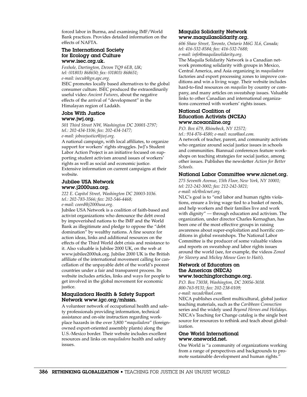forced labor in Burma, and examining IMF/World Bank practices. Provides detailed information on the effects of NAFTA.

#### The International Society for Ecology and Culture [www.isec.org.uk.](http://www.isec.org.uk)

*Foxhole, Dartington, Devon TQ9 6EB, UK; tel: (01803) 868650; fax: (01803) 868651; [e-mail: isecuk@gn.apc.org.](mailto:isecuk@gn.apc.org)*

ISEC promotes locally based alternatives to the global consumer culture. ISEC produced the extraordinarily useful video *Ancient Futures*, about the negative effects of the arrival of "development" in the Himalayan region of Ladakh.

#### Jobs With Justice [www.jwj.org.](http://www.jwj.org)

*501 Third Street NW, Washington DC 20001-2797; tel.: 202-434-1106; fax: 202-434-1477; [e-mail: jobswjustice@jwj.org.](mailto:jobswjustice@jwj.org)*

A national campaign, with local affiliates, to organize support for workers' rights struggles. JwJ's Student Labor Action Project is an initiative focused on supporting student activism around issues of workers' rights as well as social and economic justice. Extensive information on current campaigns at their website.

## Jubilee USA Network [www.j2000usa.org.](http://www.j2000usa.org)

*222 E. Capitol Street, Washington DC 20003-1036. tel.: 202-783-3566; fax: 202-546-4468; [e-mail: coord@j2000usa.org.](mailto:coord@j2000usa.org)*

Jubilee USA Network is a coalition of faith-based and activist organizations who denounce the debt owed by impoverished nations to the IMF and the World Bank as illegitimate and pledge to oppose the "debt domination" by wealthy nations. A fine source for action ideas, links and additional resources on the effects of the Third World debt crisis and resistance to it. Also valuable is Jubilee 2000 UK, on the web at [www.jubilee2000uk.org. J](http://www.jubilee2000uk.org)ubilee 2000 UK is the British affiliate of the international movement calling for cancellation of the unpayable debt of the world's poorest countries under a fair and transparent process. Its website includes articles, links and ways for people to get involved in the global movement for economic justice.

### Maquiladora Health & Safety Support [Network www.igc.org/mhssn.](http://www.igc.org/mhssn)

A volunteer network of occupational health and safety professionals providing information, technical assistance and on-site instruction regarding workplace hazards in the over 3,800 "*maquiladora*" (foreignowned export-oriented assembly plants) along the U.S.-Mexico border. Their website includes excellent resources and links on *maquiladora* health and safety issues.

## Maquila Solidarity Network [www.maquilasolidarity.org.](http://www.maquilasolidarity.org)

*606 Shaw Street, Toronto, Ontario M6G 3L6, Canada; tel: 416-532-8584; fax: 416-532-7688;* 

*[e-mail: info@maquilasolidarity.org.](http://info@maquilasolidarity.org)*

The Maquila Solidarity Network is a Canadian network promoting solidarity with groups in Mexico, Central America, and Asia organizing in *maquiladora* factories and export processing zones to improve conditions and win a living wage. Their website includes hard-to-find resources on *maquilas* by country or company, and many articles on sweatshop issues. Valuable links to other Canadian and international organizations concerned with workers' rights issues.

#### National Coalition of Education Activists (NCEA) [www.nceaonline.org](http://www.nceaonline.org)

*P.O. Box 679, Rhinebeck, NY 12572;* 

*tel.: 914-876-4580; [e-mail: ncea@aol.com.](mailto:ncea@aol.com)*  A network of teacher, parent, and community activists who organize around social justice issues in schools and communities. Biannual conferences feature workshops on teaching strategies for social justice, among other issues. Publishes the newsletter *Action for Better Schools.*

## National Labor Committe[e www.nlcnet.org.](http://www.nlcnet.org)

*275 Seventh Avenue, 15th Floor, New York, NY 10001; tel: 212-242-3002; fax: 212-242-3821; [e-mail: nlc@nlcnet.org.](mailto:nlc@nlcnet.org)*

NLC's goal is to "end labor and human rights violations, ensure a living wage tied to a basket of needs, and help workers and their families live and work with dignity" — through education and activism. The organization, under director Charles Kernaghan, has been one of the most effective groups in raising awareness about super-exploitation and horrific conditions in global sweatshops. The National Labor Committee is the producer of some valuable videos and reports on sweatshop and labor rights issues around the world (see, for example, the videos *Zoned for Slavery* and *Mickey Mouse Goes to Haiti*).

#### Network of Educators on the Americas (NECA) [www.teachingforchange.org.](http://www.teachingforchange.org)

*P.O. Box 73038, Washington, DC 20056-3038. 800-763-9131; fax: 202-238-0109; [e-mail: necadc@aol.com.](mailto:necadc@aol.com)*

NECA publishes excellent multicultural, global justice teaching materials, such as the *Caribbean Connection* series and the widely used *Beyond Heroes and Holidays*. NECA's Teaching for Change catalog is the single best source for resources to rethink and teach about globalization.

## One World International [www.oneworld.net.](http://www.oneworld.net)

One World is "a community of organizations working from a range of perspectives and backgrounds to promote sustainable development and human rights."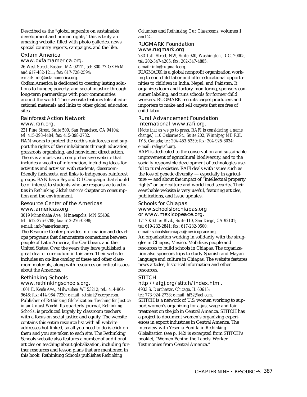Described as the "global supersite on sustainable development and human rights," this is truly an amazing website, filled with photo galleries, news, special country reports, campaigns, and the like.

# Oxfam America

# [www.oxfamamerica.org.](http://www.oxfamamerica.org)

*26 West Street, Boston, MA 02111; tel: 800-77-OXFAM and 617-482-1211; fax: 617-728-2594;* 

*[e-mail: info@oxfamamerica.org.](mailto:info@oxfamamerica.org)*

Oxfam America is dedicated to creating lasting solutions to hunger, poverty, and social injustice through long-term partnerships with poor communities around the world. Their website features lots of educational materials and links to other global education sites.

## Rainforest Action Network [www.ran.org.](http://www.ran.org)

*221 Pine Street, Suite 500, San Francisco, CA 94104; tel: 415-398-4404; fax: 415-398-2732.*

RAN works to protect the earth's rainforests and support the rights of their inhabitants through education, grassroots organizing, and nonviolent direct action. Theirs is a must-visit, comprehensive website that includes a wealth of information, including ideas for activities and activism with students, classroomfriendly factsheets, and links to indigenous rainforest groups. RAN has a Beyond Oil Campaign that should be of interest to students who are responsive to activities in *Rethinking Globalization*'s chapter on consumption and the environment.

## Resource Center of the Americas [www.americas.org.](http://www.americas.org)

*3019 Minnehaha Ave., Minneapolis, MN 55406. tel.: 612-276-0788; fax: 612-276-0898;* 

*[e-mail: info@americas.org.](mailto:info@americas.org)*

The Resource Center provides information and develops programs that demonstrate connections between people of Latin America, the Caribbean, and the United States. Over the years they have published a great deal of curriculum in this area. Their website includes an on-line catalog of these and other classroom materials, along with resources on critical issues about the Americas.

## Rethinking Schools [www.rethinkingschools.org.](http://www.rethinkingschools.org)

*1001 E. Keefe Ave., Milwaukee, WI 53212; tel.: 414-964- 9646; fax: 414-964-7220[; e-mail: rethink@execpc.com.](mailto:rethink@execpc.com)* Publisher of *Rethinking Globalization: Teaching for Justice in an Unjust World*. Its quarterly journal, *Rethinking Schools*, is produced largely by classroom teachers with a focus on social justice and equity. The website contains this entire resource list with all website addresses hot-linked, so all you need to do is click on them and you are taken to each site. The Rethinking Schools website also features a number of additional articles on teaching about globalization, including further resources and lesson plans that are mentioned in this book. Rethinking Schools publishes *Rethinking*

*Columbus* and *Rethinking Our Classrooms,* volumes 1 and 2..

## RUGMARK Foundation [www.rugmark.org.](http://www.rugmark.org)

*733 15th Street, NW, Suite 920, Washington, D.C. 20005; tel: 202-347-4205; fax: 202-347-4885;* 

*[e-mail: info@rugmark.org.](mailto:info@rugmark.org)*

RUGMARK is a global nonprofit organization working to end child labor and offer educational opportunities to children in India, Nepal, and Pakistan. It organizes loom and factory monitoring, sponsors consumer labeling, and runs schools for former child workers. RUGMARK recruits carpet producers and importers to make and sell carpets that are free of child labor.

## Rural Advancement Foundation International [www.rafi.org.](http://www.rafi.org)

*[Note that as we go to press, RAFI is considering a name change.] 110 Osborne St., Suite 202, Winnipeg MB R3L 1Y5, Canada; tel: 204-453-5259; fax: 204-925-8034; [e-mail: rafi@rafi.org.](mailto:rafi@rafi.org)*

RAFI is dedicated to the conservation and sustainable improvement of agricultural biodiversity, and to the socially responsible development of technologies useful to rural societies. RAFI deals with issues such as the loss of genetic diversity — especially in agriculture — and about the impact of "intellectual property rights" on agriculture and world food security. Their searchable website is very useful, featuring articles, publications, and issue updates.

## Schools for Chiapas [www.schoolsforchiapas.org](http://www.schoolsforchiapas.org)  o[r www.mexicopeace.org.](http://www.mexicopeace.org)

*1717 Kettner Blvd., Suite 110, San Diego, CA 92101; tel: 619-232-2841; fax: 617-232-0500; [e-mail: schoolsforchiapas@mexicopeace.org.](mailto:schoolsforchiapas@mexicopeace.org)*  An organization working in solidarity with the struggles in Chiapas, Mexico. Mobilizes people and resources to build schools in Chiapas. The organization also sponsors trips to study Spanish and Mayan language and culture in Chiapas. The website features news articles, historical information and other resources.

# **STITCH**

# [http://afgj.org/stitch/index.html.](http://afgj.org/stitch/index.html)

*4933 S. Dorchester, Chicago, IL 60615; tel: 773-924-273[8; e-mail: hf52@aol.com.](mailto:hf52@aol.com)*  STITCH is a network of U.S. women working to support women's organizing for a just wage and fair treatment on the job in Central America. STITCH has a project to document women's organizing experiences in export industries in Central America. The interview with Yesenia Bonilla in *Rethinking Globalization* (see p. 142) is excerpted from STITCH's booklet, "Women Behind the Labels: Worker Testimonies from Central America."